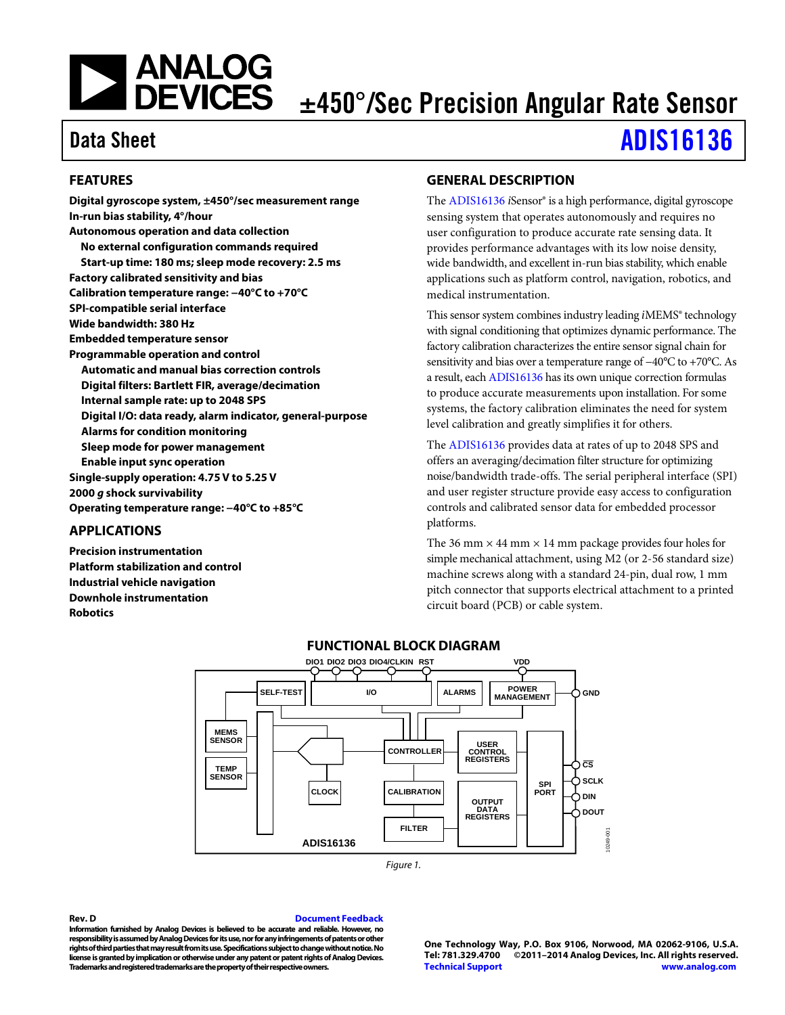# **NEXALOG**<br>DEVICES

## ±450°/Sec Precision Angular Rate Sensor

### Data Sheet [ADIS16136](http://www.analog.com/ADIS16136?doc=ADIS16136.pdf)

### <span id="page-0-0"></span>**FEATURES**

**Digital gyroscope system, ±450°/sec measurement range In-run bias stability, 4°/hour Autonomous operation and data collection No external configuration commands required Start-up time: 180 ms; sleep mode recovery: 2.5 ms Factory calibrated sensitivity and bias Calibration temperature range: −40°C to +70°C SPI-compatible serial interface Wide bandwidth: 380 Hz Embedded temperature sensor Programmable operation and control Automatic and manual bias correction controls Digital filters: Bartlett FIR, average/decimation Internal sample rate: up to 2048 SPS Digital I/O: data ready, alarm indicator, general-purpose Alarms for condition monitoring Sleep mode for power management Enable input sync operation Single-supply operation: 4.75 V to 5.25 V 2000** *g* **shock survivability Operating temperature range: −40°C to +85°C**

### <span id="page-0-1"></span>**APPLICATIONS**

<span id="page-0-3"></span>**Precision instrumentation Platform stabilization and control Industrial vehicle navigation Downhole instrumentation Robotics**

### <span id="page-0-2"></span>**GENERAL DESCRIPTION**

The [ADIS16136](http://www.analog.com/ADIS16136?doc=ADIS16136.pdf) *i*Sensor® is a high performance, digital gyroscope sensing system that operates autonomously and requires no user configuration to produce accurate rate sensing data. It provides performance advantages with its low noise density, wide bandwidth, and excellent in-run bias stability, which enable applications such as platform control, navigation, robotics, and medical instrumentation.

This sensor system combines industry leading *i*MEMS® technology with signal conditioning that optimizes dynamic performance. The factory calibration characterizes the entire sensor signal chain for sensitivity and bias over a temperature range of −40°C to +70°C. As a result, eac[h ADIS16136](http://www.analog.com/ADIS16136?doc=ADIS16136.pdf) has its own unique correction formulas to produce accurate measurements upon installation. For some systems, the factory calibration eliminates the need for system level calibration and greatly simplifies it for others.

The [ADIS16136](http://www.analog.com/ADIS16136?doc=ADIS16136.pdf) provides data at rates of up to 2048 SPS and offers an averaging/decimation filter structure for optimizing noise/bandwidth trade-offs. The serial peripheral interface (SPI) and user register structure provide easy access to configuration controls and calibrated sensor data for embedded processor platforms.

The 36 mm  $\times$  44 mm  $\times$  14 mm package provides four holes for simple mechanical attachment, using M2 (or 2-56 standard size) machine screws along with a standard 24-pin, dual row, 1 mm pitch connector that supports electrical attachment to a printed circuit board (PCB) or cable system.





#### **Rev. D [Document Feedback](https://form.analog.com/Form_Pages/feedback/documentfeedback.aspx?doc=ADIS16136.pdf&product=ADIS16136&rev=D)**

**Information furnished by Analog Devices is believed to be accurate and reliable. However, no responsibility is assumed by Analog Devices for its use, nor for any infringements of patents or other rights of third parties that may result from its use. Specifications subject to change without notice. No license is granted by implication or otherwise under any patent or patent rights of Analog Devices. Trademarks and registered trademarks are the property of their respective owners.**

**One Technology Way, P.O. Box 9106, Norwood, MA 02062-9106, U.S.A. Tel: 781.329.4700 ©2011–2014 Analog Devices, Inc. All rights reserved. [Technical Support](http://www.analog.com/en/content/technical_support_page/fca.html) [www.analog.com](http://www.analog.com/)**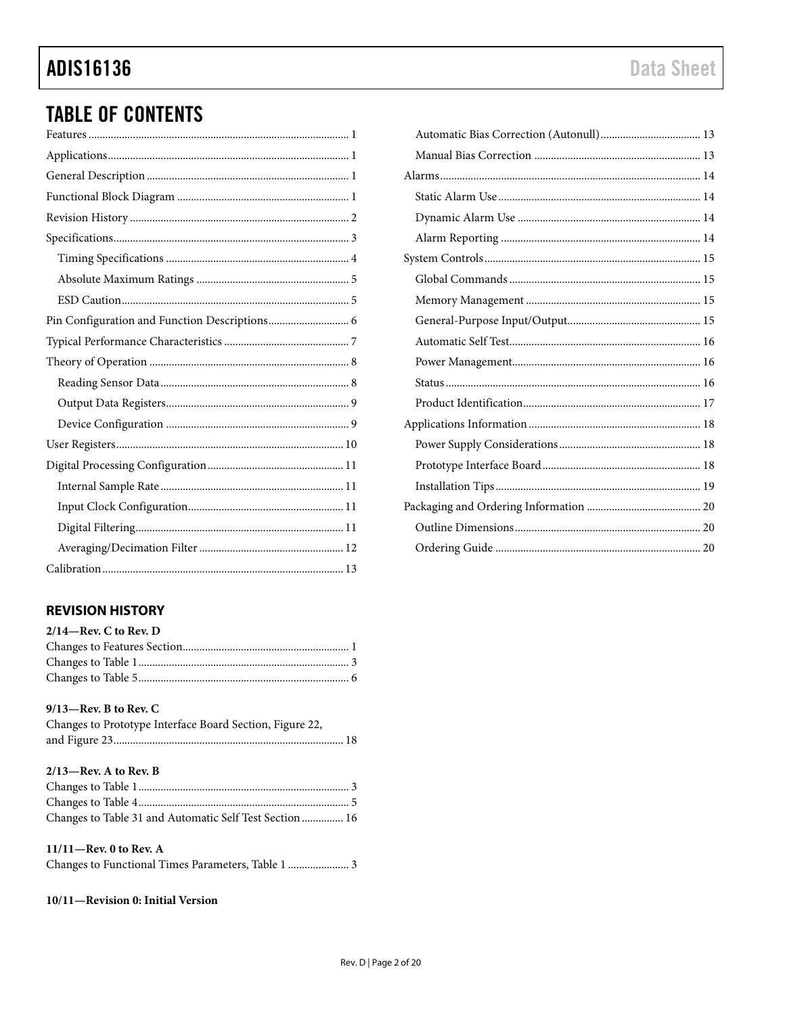### **ADIS16136**

### **TABLE OF CONTENTS**

### <span id="page-1-0"></span>**REVISION HISTORY**

| $2/14$ -Rev. C to Rev. D |  |
|--------------------------|--|
|                          |  |
|                          |  |
|                          |  |

### $9/13$ -Rev. B to Rev. C

| Changes to Prototype Interface Board Section, Figure 22, |  |
|----------------------------------------------------------|--|
|                                                          |  |

### $2/13$ -Rev. A to Rev. B

| Changes to Table 31 and Automatic Self Test Section  16 |  |
|---------------------------------------------------------|--|

### $11/11$ –Rev. 0 to Rev. A

Changes to Functional Times Parameters, Table 1 ....................... 3

### 10/11-Revision 0: Initial Version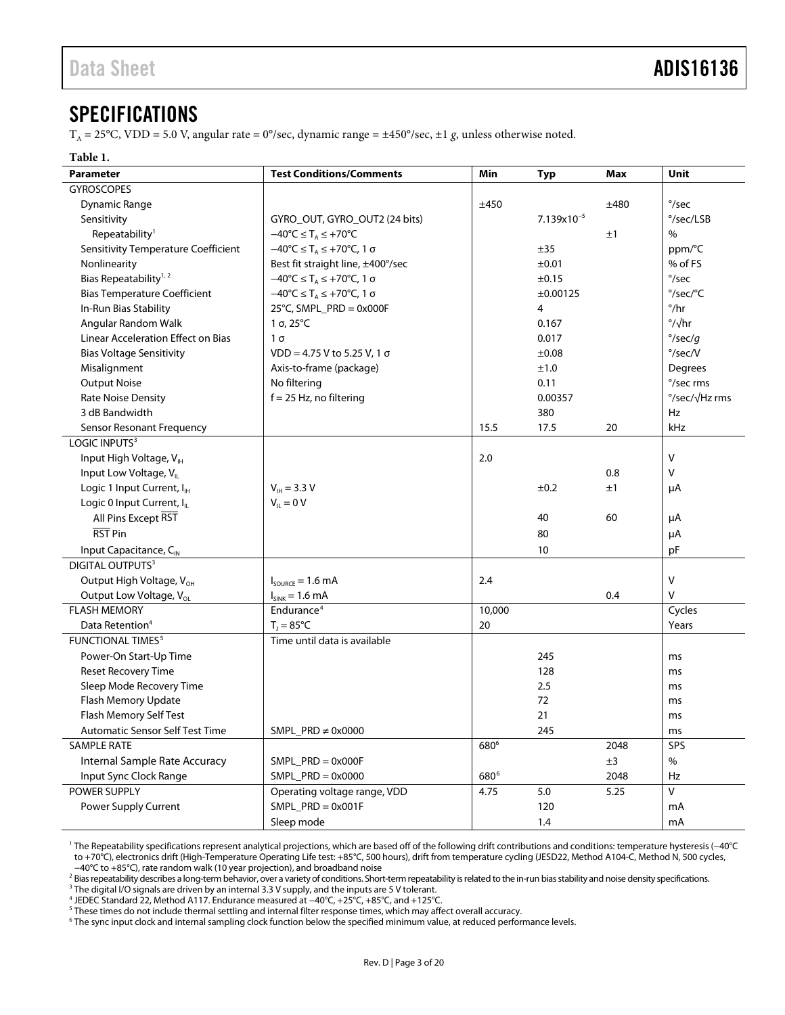### <span id="page-2-0"></span>**SPECIFICATIONS**

T<sub>A</sub> = 25°C, VDD = 5.0 V, angular rate = 0°/sec, dynamic range =  $\pm$ 450°/sec,  $\pm$ 1 g, unless otherwise noted.

### **Table 1.**

<span id="page-2-1"></span>

| <b>Parameter</b>                           | <b>Test Conditions/Comments</b>                                           | Min              | <b>Typ</b>      | <b>Max</b> | <b>Unit</b>               |
|--------------------------------------------|---------------------------------------------------------------------------|------------------|-----------------|------------|---------------------------|
| <b>GYROSCOPES</b>                          |                                                                           |                  |                 |            |                           |
| Dynamic Range                              |                                                                           | ±450             |                 | ±480       | $\degree$ /sec            |
| Sensitivity                                | GYRO_OUT, GYRO_OUT2 (24 bits)                                             |                  | $7.139x10^{-5}$ |            | °/sec/LSB                 |
| Repeatability <sup>1</sup>                 | $-40^{\circ}C \leq T_A \leq +70^{\circ}C$                                 |                  |                 | ±1         | $\%$                      |
| <b>Sensitivity Temperature Coefficient</b> | $-40^{\circ}$ C $\leq$ T <sub>A</sub> $\leq$ +70 $^{\circ}$ C, 1 $\sigma$ |                  | ±35             |            | ppm/°C                    |
| Nonlinearity                               | Best fit straight line, ±400°/sec                                         |                  | ±0.01           |            | % of FS                   |
| Bias Repeatability <sup>1, 2</sup>         | $-40^{\circ}C \leq T_A \leq +70^{\circ}C$ , 1 $\sigma$                    |                  | ±0.15           |            | $\degree$ /sec            |
| <b>Bias Temperature Coefficient</b>        | $-40^{\circ}C \leq T_A \leq +70^{\circ}C$ , 1 $\sigma$                    |                  | ±0.00125        |            | °/sec/°C                  |
| In-Run Bias Stability                      | 25°C, SMPL_PRD = 0x000F                                                   |                  | 4               |            | $^{\circ}/\text{hr}$      |
| Angular Random Walk                        | 1 σ, 25 $°C$                                                              |                  | 0.167           |            | $\frac{\circ}{\sqrt{hr}}$ |
| Linear Acceleration Effect on Bias         | $1\sigma$                                                                 |                  | 0.017           |            | $\degree$ /sec/g          |
| <b>Bias Voltage Sensitivity</b>            | $VDD = 4.75 V$ to 5.25 V, 1 $\sigma$                                      |                  | ±0.08           |            | $\degree$ /sec/V          |
| Misalignment                               | Axis-to-frame (package)                                                   |                  | ±1.0            |            | Degrees                   |
| <b>Output Noise</b>                        | No filtering                                                              |                  | 0.11            |            | °/sec rms                 |
| <b>Rate Noise Density</b>                  | $f = 25$ Hz, no filtering                                                 |                  | 0.00357         |            | °/sec/√Hz rms             |
| 3 dB Bandwidth                             |                                                                           |                  | 380             |            | Hz                        |
| Sensor Resonant Frequency                  |                                                                           | 15.5             | 17.5            | 20         | kHz                       |
| LOGIC INPUTS <sup>3</sup>                  |                                                                           |                  |                 |            |                           |
| Input High Voltage, VIH                    |                                                                           | 2.0              |                 |            | $\vee$                    |
| Input Low Voltage, V <sub>II</sub>         |                                                                           |                  |                 | 0.8        | V                         |
| Logic 1 Input Current, I <sub>H</sub>      | $V_{\text{H}}$ = 3.3 V                                                    |                  | $\pm 0.2$       | ±1         | μA                        |
| Logic 0 Input Current, I <sub>L</sub>      | $V_{IL} = 0 V$                                                            |                  |                 |            |                           |
| All Pins Except RST                        |                                                                           |                  | 40              | 60         | μA                        |
| RST Pin                                    |                                                                           |                  | 80              |            | μA                        |
| Input Capacitance, C <sub>IN</sub>         |                                                                           |                  | 10              |            | pF                        |
| <b>DIGITAL OUTPUTS3</b>                    |                                                                           |                  |                 |            |                           |
| Output High Voltage, V <sub>OH</sub>       | $I_{\text{source}} = 1.6 \text{ mA}$                                      | 2.4              |                 |            | $\vee$                    |
| Output Low Voltage, V <sub>ol</sub>        | $I_{SINK} = 1.6 mA$                                                       |                  |                 | 0.4        | $\vee$                    |
| <b>FLASH MEMORY</b>                        | Endurance <sup>4</sup>                                                    | 10,000           |                 |            | Cycles                    |
| Data Retention <sup>4</sup>                | $T_1 = 85^{\circ}C$                                                       | 20               |                 |            | Years                     |
| <b>FUNCTIONAL TIMES<sup>5</sup></b>        | Time until data is available                                              |                  |                 |            |                           |
| Power-On Start-Up Time                     |                                                                           |                  | 245             |            | ms                        |
| Reset Recovery Time                        |                                                                           |                  | 128             |            | ms                        |
| Sleep Mode Recovery Time                   |                                                                           |                  | 2.5             |            | ms                        |
| Flash Memory Update                        |                                                                           |                  | 72              |            | ms                        |
| Flash Memory Self Test                     |                                                                           |                  | 21              |            | ms                        |
| <b>Automatic Sensor Self Test Time</b>     | SMPL_PRD $\neq$ 0x0000                                                    |                  | 245             |            | ms                        |
| <b>SAMPLE RATE</b>                         |                                                                           | 680 <sup>6</sup> |                 | 2048       | SPS                       |
| Internal Sample Rate Accuracy              | $SMPL$ PRD = 0x000F                                                       |                  |                 | ±3         | $\%$                      |
| Input Sync Clock Range                     | SMPL $PRD = 0x0000$                                                       | 680 <sup>6</sup> |                 | 2048       | Hz                        |
| POWER SUPPLY                               | Operating voltage range, VDD                                              | 4.75             | 5.0             | 5.25       | $\vee$                    |
| Power Supply Current                       | $SMPL$ PRD = 0x001F                                                       |                  | 120             |            | mA                        |
|                                            | Sleep mode                                                                |                  | 1.4             |            | mA                        |

<span id="page-2-2"></span><sup>1</sup> The Repeatability specifications represent analytical projections, which are based off of the following drift contributions and conditions: temperature hysteresis (−40°C to +70°C), electronics drift (High-Temperature Operating Life test: +85°C, 500 hours), drift from temperature cycling (JESD22, Method A104-C, Method N, 500 cycles, −40°C to +85°C), rate random walk (10 year projection), and broadband noise

<sup>2</sup> Bias repeatability describes a long-term behavior, over a variety of conditions. Short-term repeatability is related to the in-run bias stability and noise density specifications.<br><sup>3</sup> The digital I/O signals are drive

5 These times do not include thermal settling and internal filter response times, which may affect overall accuracy.

 $6$  The sync input clock and internal sampling clock function below the specified minimum value, at reduced performance levels.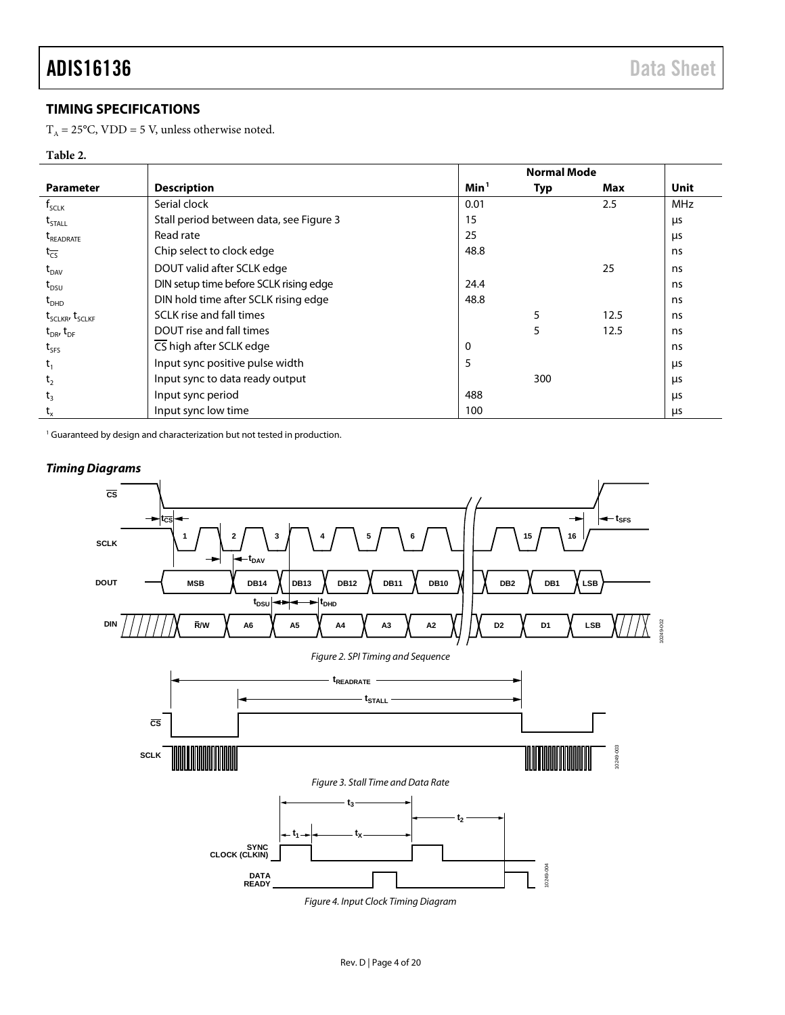### <span id="page-3-0"></span>**TIMING SPECIFICATIONS**

 $T_A = 25$ °C, VDD = 5 V, unless otherwise noted.

### **Table 2.**

|                                         |                                         |                  | <b>Normal Mode</b> |      |            |
|-----------------------------------------|-----------------------------------------|------------------|--------------------|------|------------|
| <b>Parameter</b>                        | <b>Description</b>                      | Min <sup>1</sup> | <b>Typ</b>         | Max  | Unit       |
| $f_{\text{SCLK}}$                       | Serial clock                            | 0.01             |                    | 2.5  | <b>MHz</b> |
| $t_{\text{STALL}}$                      | Stall period between data, see Figure 3 | 15               |                    |      | μs         |
| <b>T</b> READRATE                       | Read rate                               | 25               |                    |      | μs         |
| $t_{\overline{\text{CS}}}$              | Chip select to clock edge               | 48.8             |                    |      | ns         |
| $t_{DAV}$                               | DOUT valid after SCLK edge              |                  |                    | 25   | ns         |
| $t_{DSU}$                               | DIN setup time before SCLK rising edge  | 24.4             |                    |      | ns         |
| $t_{DHD}$                               | DIN hold time after SCLK rising edge    | 48.8             |                    |      | ns         |
| t <sub>SCLKR</sub> , t <sub>SCLKF</sub> | SCLK rise and fall times                |                  | 5                  | 12.5 | ns         |
| $t_{DR}$ , $t_{DF}$                     | DOUT rise and fall times                |                  | 5                  | 12.5 | ns         |
| $t_{SFS}$                               | CS high after SCLK edge                 | 0                |                    |      | ns         |
| $t_1$                                   | Input sync positive pulse width         | 5                |                    |      | μs         |
| t <sub>2</sub>                          | Input sync to data ready output         |                  | 300                |      | μs         |
| t <sub>3</sub>                          | Input sync period                       | 488              |                    |      | μs         |
| $t_{x}$                                 | Input sync low time                     | 100              |                    |      | μs         |

<sup>1</sup> Guaranteed by design and characterization but not tested in production.



<span id="page-3-7"></span><span id="page-3-6"></span><span id="page-3-5"></span><span id="page-3-4"></span><span id="page-3-3"></span><span id="page-3-2"></span><span id="page-3-1"></span>*Figure 4. Input Clock Timing Diagram*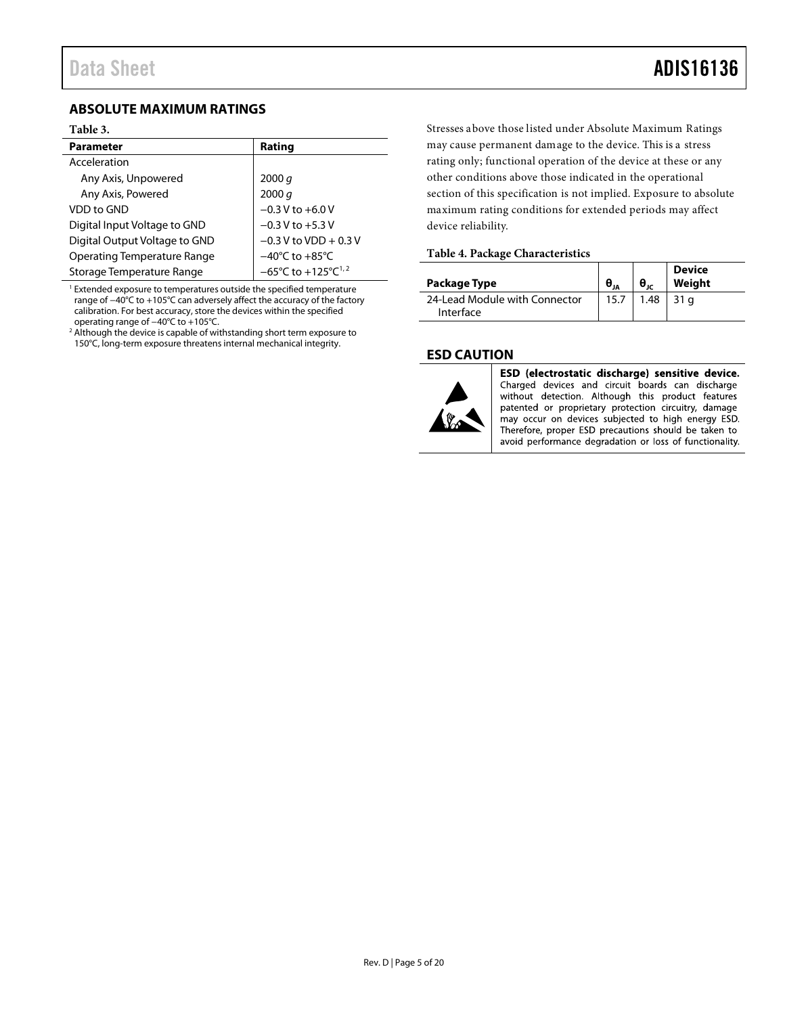### <span id="page-4-0"></span>**ABSOLUTE MAXIMUM RATINGS**

### **Table 3.**

| <b>Parameter</b>              | Rating                                             |
|-------------------------------|----------------------------------------------------|
| Acceleration                  |                                                    |
| Any Axis, Unpowered           | 2000 $q$                                           |
| Any Axis, Powered             | 2000 q                                             |
| VDD to GND                    | $-0.3$ V to $+6.0$ V                               |
| Digital Input Voltage to GND  | $-0.3$ V to $+5.3$ V                               |
| Digital Output Voltage to GND | $-0.3$ V to VDD + 0.3 V                            |
| Operating Temperature Range   | $-40^{\circ}$ C to $+85^{\circ}$ C                 |
| Storage Temperature Range     | $-65^{\circ}$ C to $+125^{\circ}$ C <sup>1,2</sup> |

 $1$  Extended exposure to temperatures outside the specified temperature range of −40°C to +105°C can adversely affect the accuracy of the factory calibration. For best accuracy, store the devices within the specified operating range of −40°C to +105°C.

<sup>2</sup> Although the device is capable of withstanding short term exposure to 150°C, long-term exposure threatens internal mechanical integrity.

Stresses above those listed under Absolute Maximum Ratings may cause permanent damage to the device. This is a stress rating only; functional operation of the device at these or any other conditions above those indicated in the operational section of this specification is not implied. Exposure to absolute maximum rating conditions for extended periods may affect device reliability.

#### **Table 4. Package Characteristics**

| Package Type                               |      | $\theta_{ir}$ | <b>Device</b><br>Weight |
|--------------------------------------------|------|---------------|-------------------------|
| 24-Lead Module with Connector<br>Interface | 15.7 |               | $1.48$ 31 a             |

### <span id="page-4-1"></span>**ESD CAUTION**



ESD (electrostatic discharge) sensitive device. Charged devices and circuit boards can discharge without detection. Although this product features patented or proprietary protection circuitry, damage may occur on devices subjected to high energy ESD. Therefore, proper ESD precautions should be taken to avoid performance degradation or loss of functionality.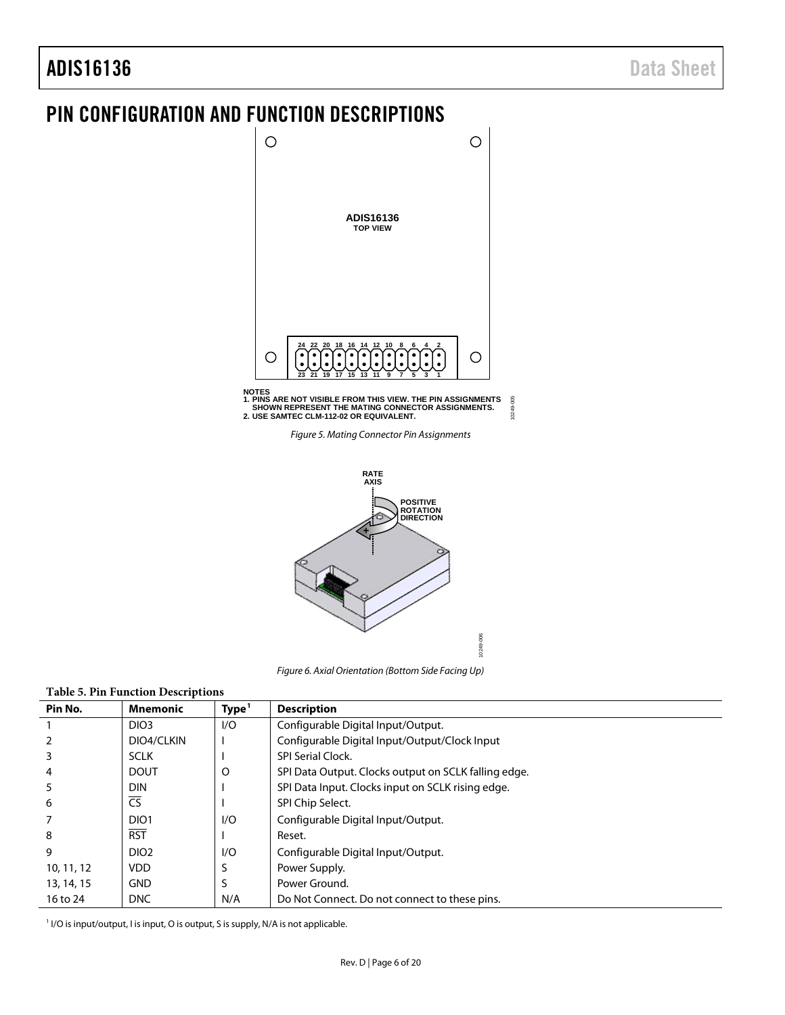### ADIS16136 Data Sheet

### <span id="page-5-0"></span>PIN CONFIGURATION AND FUNCTION DESCRIPTIONS



<span id="page-5-1"></span>**NOTES 1. PINS ARE NOT VISIBLE FROM THIS VIEW. THE PIN ASSIGNMENTS SHOWN REPRESENT THE MATING CONNECTOR ASSIGNMENTS. 2. USE SAMTEC CLM-112-02 OR EQUIVALENT.** 10249-005 10249-005

*Figure 5. Mating Connector Pin Assignments*



*Figure 6. Axial Orientation (Bottom Side Facing Up)*

10249-006

### <span id="page-5-2"></span>**Table 5. Pin Function Descriptions**

| Pin No.    | <b>Mnemonic</b>        | Type <sup>1</sup> | <b>Description</b>                                   |
|------------|------------------------|-------------------|------------------------------------------------------|
|            | DIO <sub>3</sub>       | 1/O               | Configurable Digital Input/Output.                   |
|            | DIO4/CLKIN             |                   | Configurable Digital Input/Output/Clock Input        |
| 3          | <b>SCLK</b>            |                   | <b>SPI Serial Clock.</b>                             |
| 4          | <b>DOUT</b>            | O                 | SPI Data Output. Clocks output on SCLK falling edge. |
| 5          | <b>DIN</b>             |                   | SPI Data Input. Clocks input on SCLK rising edge.    |
| 6          | $\overline{\text{CS}}$ |                   | SPI Chip Select.                                     |
|            | DIO <sub>1</sub>       | 1/O               | Configurable Digital Input/Output.                   |
| 8          | <b>RST</b>             |                   | Reset.                                               |
| 9          | DIO <sub>2</sub>       | I/O               | Configurable Digital Input/Output.                   |
| 10, 11, 12 | <b>VDD</b>             |                   | Power Supply.                                        |
| 13, 14, 15 | <b>GND</b>             | S                 | Power Ground.                                        |
| 16 to 24   | <b>DNC</b>             | N/A               | Do Not Connect. Do not connect to these pins.        |

I/O is input/output, I is input, O is output, S is supply, N/A is not applicable.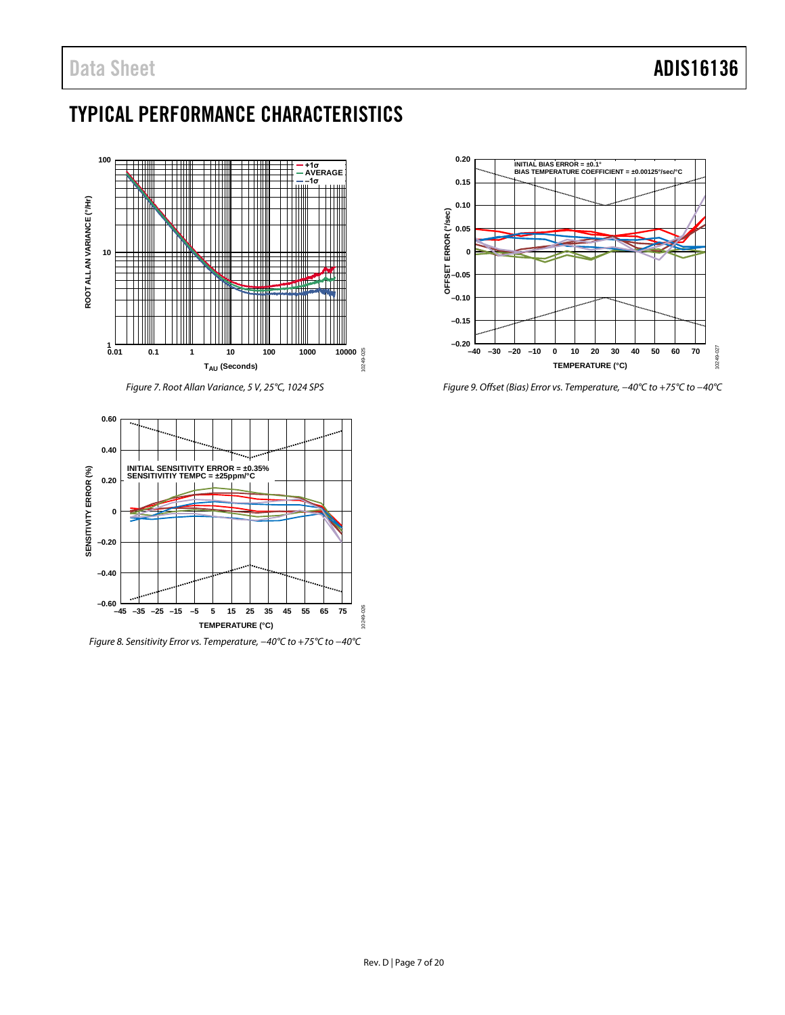### <span id="page-6-0"></span>TYPICAL PERFORMANCE CHARACTERISTICS



*Figure 7. Root Allan Variance, 5 V, 25°C, 1024 SPS*

<span id="page-6-1"></span>

*Figure 8. Sensitivity Error vs. Temperature, −40°C to +75°C to −40°C*



*Figure 9. Offset (Bias) Error vs. Temperature, −40°C to +75°C to −40°C*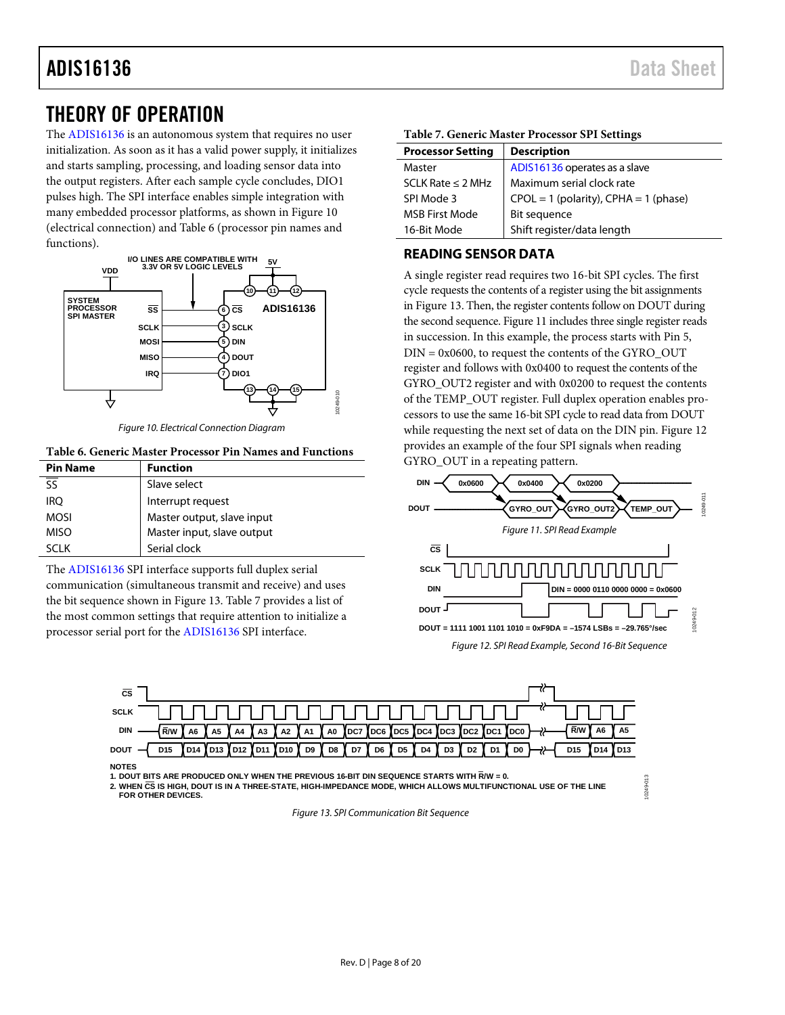### ADIS16136 Data Sheet

### <span id="page-7-0"></span>THEORY OF OPERATION

The [ADIS16136](http://www.analog.com/ADIS16136?doc=ADIS16136.pdf) is an autonomous system that requires no user initialization. As soon as it has a valid power supply, it initializes and starts sampling, processing, and loading sensor data into the output registers. After each sample cycle concludes, DIO1 pulses high. The SPI interface enables simple integration with many embedded processor platforms, as shown i[n Figure 10](#page-7-2) (electrical connection) and [Table 6](#page-7-3) (processor pin names and functions).



*Figure 10. Electrical Connection Diagram*

#### <span id="page-7-3"></span><span id="page-7-2"></span>**Table 6. Generic Master Processor Pin Names and Functions**

| <b>Pin Name</b> | <b>Function</b>            |
|-----------------|----------------------------|
| ςς              | Slave select               |
| <b>IRO</b>      | Interrupt request          |
| <b>MOSI</b>     | Master output, slave input |
| <b>MISO</b>     | Master input, slave output |
| א ורא           | Serial clock               |

The [ADIS16136](http://www.analog.com/ADIS16136?doc=ADIS16136.pdf) SPI interface supports full duplex serial communication (simultaneous transmit and receive) and uses the bit sequence shown in [Figure 13.](#page-7-4) [Table 7](#page-7-5) provides a list of the most common settings that require attention to initialize a processor serial port for the [ADIS16136](http://www.analog.com/ADIS16136?doc=ADIS16136.pdf) SPI interface.

| <b>Processor Setting</b> | <b>Description</b>                        |
|--------------------------|-------------------------------------------|
| Master                   | ADIS16136 operates as a slave             |
| SCLK Rate $\leq$ 2 MHz   | Maximum serial clock rate                 |
| SPI Mode 3               | $CPOL = 1$ (polarity), $CPHA = 1$ (phase) |

#### <span id="page-7-5"></span>**Table 7. Generic Master Processor SPI Settings**

16-Bit Mode Shift register/data length

### <span id="page-7-1"></span>**READING SENSOR DATA**

MSB First Mode Bit sequence

A single register read requires two 16-bit SPI cycles. The first cycle requests the contents of a register using the bit assignments in [Figure 13.](#page-7-4) Then, the register contents follow on DOUT during the second sequence[. Figure 11](#page-7-6) includes three single register reads in succession. In this example, the process starts with Pin 5, DIN = 0x0600, to request the contents of the GYRO\_OUT register and follows with 0x0400 to request the contents of the GYRO\_OUT2 register and with 0x0200 to request the contents of the TEMP\_OUT register. Full duplex operation enables processors to use the same 16-bit SPI cycle to read data from DOUT while requesting the next set of data on the DIN pin. [Figure 12](#page-7-7) provides an example of the four SPI signals when reading GYRO\_OUT in a repeating pattern.

<span id="page-7-7"></span><span id="page-7-6"></span>

10249-013

1249-013



**1. DOUT BITS ARE PRODUCED ONLY WHEN THE PREVIOUS 16-BIT DIN SEQUENCE STARTS WITH R/W = 0.**

<span id="page-7-4"></span>**2. WHEN CS IS HIGH, DOUT IS IN A THREE-STATE, HIGH-IMPEDANCE MODE, WHICH ALLOWS MULTIFUNCTIONAL USE OF THE LINE FOR OTHER DEVICES.**

*Figure 13. SPI Communication Bit Sequence*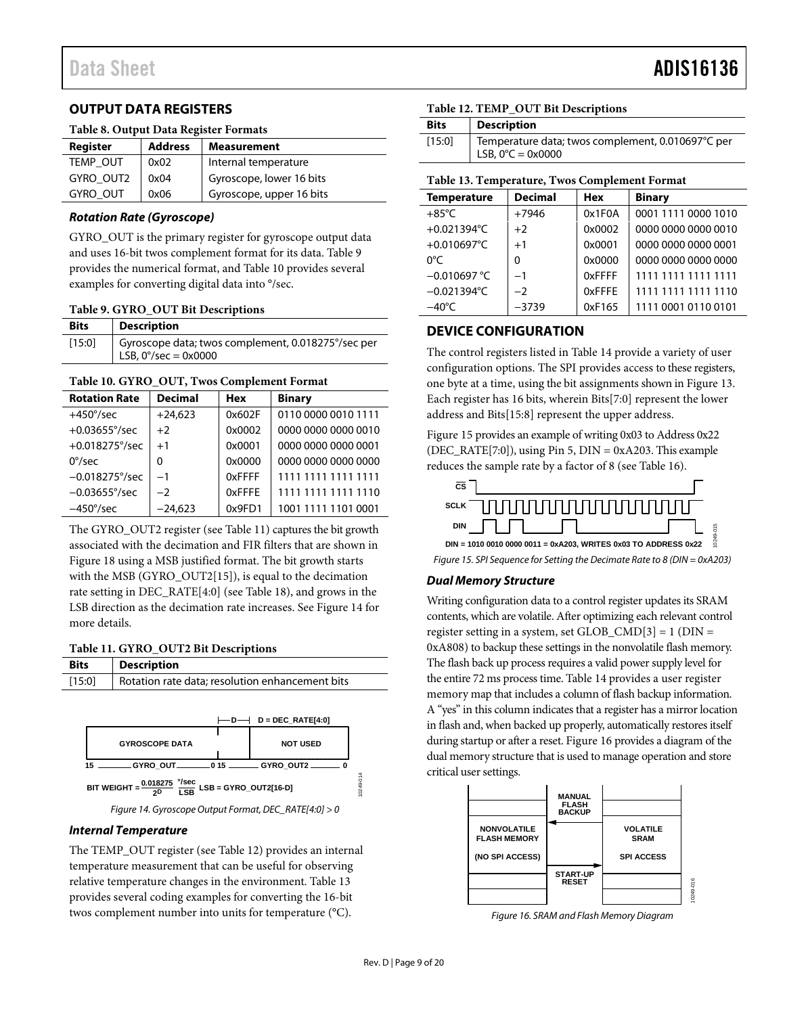### <span id="page-8-0"></span>**OUTPUT DATA REGISTERS**

#### **Table 8. Output Data Register Formats**

| Register        | <b>Address</b> | <b>Measurement</b>       |
|-----------------|----------------|--------------------------|
| TEMP OUT        | 0x02           | Internal temperature     |
| GYRO_OUT2       | 0x04           | Gyroscope, lower 16 bits |
| <b>GYRO OUT</b> | 0x06           | Gyroscope, upper 16 bits |

### *Rotation Rate (Gyroscope)*

GYRO\_OUT is the primary register for gyroscope output data and uses 16-bit twos complement format for its data. [Table 9](#page-8-3) provides the numerical format, and [Table 10](#page-8-4) provides several examples for converting digital data into °/sec.

#### <span id="page-8-3"></span>**Table 9. GYRO\_OUT Bit Descriptions**

| <b>Bits</b> | Description                                                                         |
|-------------|-------------------------------------------------------------------------------------|
| [15:0]      | Gyroscope data; twos complement, 0.018275°/sec per<br>LSB, $0^{\circ}/sec = 0x0000$ |

#### <span id="page-8-4"></span>**Table 10. GYRO\_OUT, Twos Complement Format**

| <b>Rotation Rate</b>    | <b>Decimal</b> | <b>Hex</b> | <b>Binary</b>       |
|-------------------------|----------------|------------|---------------------|
| $+450^{\circ}/sec$      | $+24.623$      | 0x602F     | 0110 0000 0010 1111 |
| $+0.03655^{\circ}/sec$  | $+2$           | 0x0002     | 0000 0000 0000 0010 |
| $+0.018275^{\circ}/sec$ | $+1$           | 0x0001     | 0000 0000 0000 0001 |
| $0^{\circ}/sec$         | $\Omega$       | 0x0000     | 0000 0000 0000 0000 |
| $-0.018275^{\circ}/sec$ | $-1$           | 0xFFFF     | 1111 1111 1111 1111 |
| $-0.03655^{\circ}/sec$  | $-2$           | 0xFFFE     | 1111 1111 1111 1110 |
| $-450^{\circ}/sec$      | $-24.623$      | 0x9FD1     | 1001 1111 1101 0001 |

The GYRO\_OUT2 register (se[e Table 11\)](#page-8-5) captures the bit growth associated with the decimation and FIR filters that are shown in [Figure 18](#page-11-1) using a MSB justified format. The bit growth starts with the MSB (GYRO\_OUT2[15]), is equal to the decimation rate setting in DEC\_RATE[4:0] (se[e Table 18\)](#page-11-2), and grows in the LSB direction as the decimation rate increases. See [Figure 14](#page-8-6) for more details.

#### <span id="page-8-5"></span>**Table 11. GYRO\_OUT2 Bit Descriptions**

| <b>Bits</b> | <b>Description</b>                                        |                                                 |           |
|-------------|-----------------------------------------------------------|-------------------------------------------------|-----------|
| [15:0]      |                                                           | Rotation rate data; resolution enhancement bits |           |
|             |                                                           |                                                 |           |
|             |                                                           | $D = DEC RATE[4:0]$<br>D.                       |           |
|             | <b>GYROSCOPE DATA</b>                                     | <b>NOT USED</b>                                 |           |
| 15          | GYRO OUT __________ 0 15 ______                           | GYRO OUT2                                       |           |
|             | 0.018275 °/sec<br>BIT WEIGHT =<br><b>ISB</b><br><b>ንD</b> | LSB = GYRO_OUT2[16-D]                           | 10249-014 |

*Figure 14. Gyroscope Output Format, DEC\_RATE[4:0] > 0* **BIT WEIGHT = 0.018275 2D LSB = GYRO\_OUT2[16-D] °/sec LSB**

#### <span id="page-8-6"></span>*Internal Temperature*

<span id="page-8-2"></span>The TEMP\_OUT register (se[e Table 12\)](#page-8-7) provides an internal temperature measurement that can be useful for observing relative temperature changes in the environment. [Table 13](#page-8-8) provides several coding examples for converting the 16-bit twos complement number into units for temperature (°C).

### <span id="page-8-7"></span>**Table 12. TEMP\_OUT Bit Descriptions**

| <b>Bits</b> | <b>Description</b>                                                                     |
|-------------|----------------------------------------------------------------------------------------|
| [15:0]      | Temperature data; twos complement, 0.010697°C per<br>LSB, $0^{\circ}C = 0 \times 0000$ |

### <span id="page-8-8"></span>**Table 13. Temperature, Twos Complement Format**

| <b>Temperature</b>    | <b>Decimal</b> | Hex    | <b>Binary</b>       |
|-----------------------|----------------|--------|---------------------|
| $+85^{\circ}$ C       | $+7946$        | 0x1F0A | 0001 1111 0000 1010 |
| +0.021394°C           | $+2$           | 0x0002 | 0000 0000 0000 0010 |
| +0.010697 $°C$        | $+1$           | 0x0001 | 0000 0000 0000 0001 |
| 0°C                   | $\Omega$       | 0x0000 | 0000 0000 0000 0000 |
| $-0.010697 °C$        | $-1$           | 0xFFFF | 1111 1111 1111 1111 |
| $-0.021394^{\circ}$ C | $-2$           | 0xFFFF | 1111 1111 1111 1110 |
| $-40^{\circ}$ C       | $-3739$        | 0xF165 | 1111 0001 0110 0101 |

### <span id="page-8-1"></span>**DEVICE CONFIGURATION**

The control registers listed in [Table 14](#page-9-1) provide a variety of user configuration options. The SPI provides access to these registers, one byte at a time, using the bit assignments shown in [Figure 13.](#page-7-4)  Each register has 16 bits, wherein Bits[7:0] represent the lower address and Bits[15:8] represent the upper address.

[Figure 15](#page-8-9) provides an example of writing 0x03 to Address 0x22 (DEC\_RATE[7:0]), using Pin 5, DIN = 0xA203. This example reduces the sample rate by a factor of 8 (see [Table 16\)](#page-10-4).



<span id="page-8-9"></span>*Figure 15. SPI Sequence for Setting the Decimate Rate to 8 (DIN = 0xA203)*

### *Dual Memory Structure*

Writing configuration data to a control register updates its SRAM contents, which are volatile. After optimizing each relevant control register setting in a system, set  $GLOB\_CMD[3] = 1 (DIN =$ 0xA808) to backup these settings in the nonvolatile flash memory. The flash back up process requires a valid power supply level for the entire 72 ms process time[. Table 14](#page-9-1) provides a user register memory map that includes a column of flash backup information. A "yes" in this column indicates that a register has a mirror location in flash and, when backed up properly, automatically restores itself during startup or after a reset[. Figure 16](#page-8-10) provides a diagram of the dual memory structure that is used to manage operation and store critical user settings.



<span id="page-8-10"></span>*Figure 16. SRAM and Flash Memory Diagram*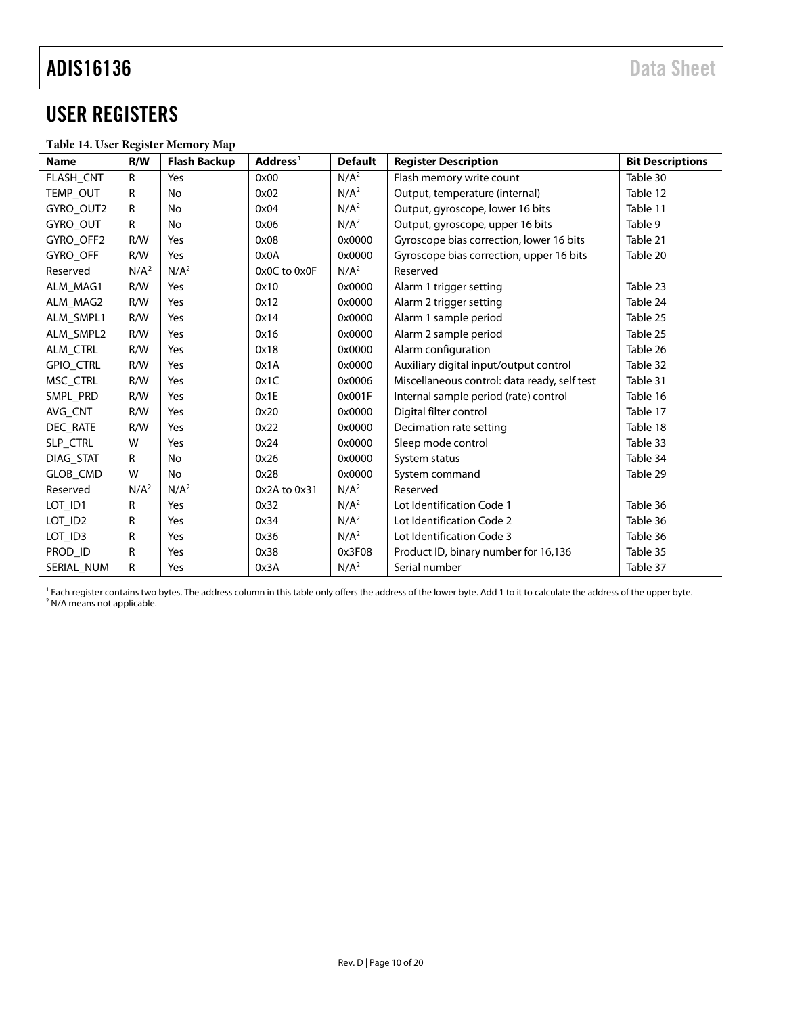### <span id="page-9-0"></span>USER REGISTERS

### <span id="page-9-1"></span>**Table 14. User Register Memory Map**

<span id="page-9-2"></span>

| <b>Name</b>         | R/W              | <b>Flash Backup</b> | Address <sup>1</sup> | <b>Default</b>   | <b>Register Description</b>                  | <b>Bit Descriptions</b> |
|---------------------|------------------|---------------------|----------------------|------------------|----------------------------------------------|-------------------------|
| FLASH_CNT           | $\mathsf{R}$     | Yes                 | 0x00                 | N/A <sup>2</sup> | Flash memory write count                     | Table 30                |
| TEMP_OUT            | R                | No                  | 0x02                 | N/A <sup>2</sup> | Output, temperature (internal)               | Table 12                |
| GYRO OUT2           | R                | No                  | 0x04                 | N/A <sup>2</sup> | Output, gyroscope, lower 16 bits             | Table 11                |
| GYRO_OUT            | R                | No                  | 0x06                 | N/A <sup>2</sup> | Output, gyroscope, upper 16 bits             | Table 9                 |
| GYRO OFF2           | R/W              | Yes                 | 0x08                 | 0x0000           | Gyroscope bias correction, lower 16 bits     | Table 21                |
| <b>GYRO OFF</b>     | R/W              | Yes                 | 0x0A                 | 0x0000           | Gyroscope bias correction, upper 16 bits     | Table 20                |
| Reserved            | N/A <sup>2</sup> | N/A <sup>2</sup>    | 0x0C to 0x0F         | N/A <sup>2</sup> | Reserved                                     |                         |
| ALM MAG1            | R/W              | Yes                 | 0x10                 | 0x0000           | Alarm 1 trigger setting                      | Table 23                |
| ALM MAG2            | R/W              | Yes                 | 0x12                 | 0x0000           | Alarm 2 trigger setting                      | Table 24                |
| ALM SMPL1           | R/W              | Yes                 | 0x14                 | 0x0000           | Alarm 1 sample period                        | Table 25                |
| ALM SMPL2           | R/W              | Yes                 | 0x16                 | 0x0000           | Alarm 2 sample period                        | Table 25                |
| <b>ALM CTRL</b>     | R/W              | Yes                 | 0x18                 | 0x0000           | Alarm configuration                          | Table 26                |
| <b>GPIO CTRL</b>    | R/W              | Yes                 | 0x1A                 | 0x0000           | Auxiliary digital input/output control       | Table 32                |
| MSC CTRL            | R/W              | Yes                 | 0x1C                 | 0x0006           | Miscellaneous control: data ready, self test | Table 31                |
| SMPL PRD            | R/W              | Yes                 | 0x1E                 | 0x001F           | Internal sample period (rate) control        | Table 16                |
| AVG CNT             | R/W              | Yes                 | 0x20                 | 0x0000           | Digital filter control                       | Table 17                |
| DEC RATE            | R/W              | Yes                 | 0x22                 | 0x0000           | Decimation rate setting                      | Table 18                |
| SLP_CTRL            | W                | Yes                 | 0x24                 | 0x0000           | Sleep mode control                           | Table 33                |
| DIAG STAT           | R                | No                  | 0x26                 | 0x0000           | System status                                | Table 34                |
| GLOB_CMD            | W                | No                  | 0x28                 | 0x0000           | System command                               | Table 29                |
| Reserved            | N/A <sup>2</sup> | N/A <sup>2</sup>    | 0x2A to 0x31         | N/A <sup>2</sup> | Reserved                                     |                         |
| LOT_ID1             | R                | Yes                 | 0x32                 | N/A <sup>2</sup> | Lot Identification Code 1                    | Table 36                |
| LOT_ID <sub>2</sub> | R                | Yes                 | 0x34                 | N/A <sup>2</sup> | Lot Identification Code 2                    | Table 36                |
| LOT_ID3             | R                | Yes                 | 0x36                 | N/A <sup>2</sup> | Lot Identification Code 3                    | Table 36                |
| PROD ID             | R                | Yes                 | 0x38                 | 0x3F08           | Product ID, binary number for 16,136         | Table 35                |
| SERIAL_NUM          | R                | Yes                 | 0x3A                 | N/A <sup>2</sup> | Serial number                                | Table 37                |

<sup>1</sup> Each register contains two bytes. The address column in this table only offers the address of the lower byte. Add 1 to it to calculate the address of the upper byte. <sup>2</sup> N/A means not applicable.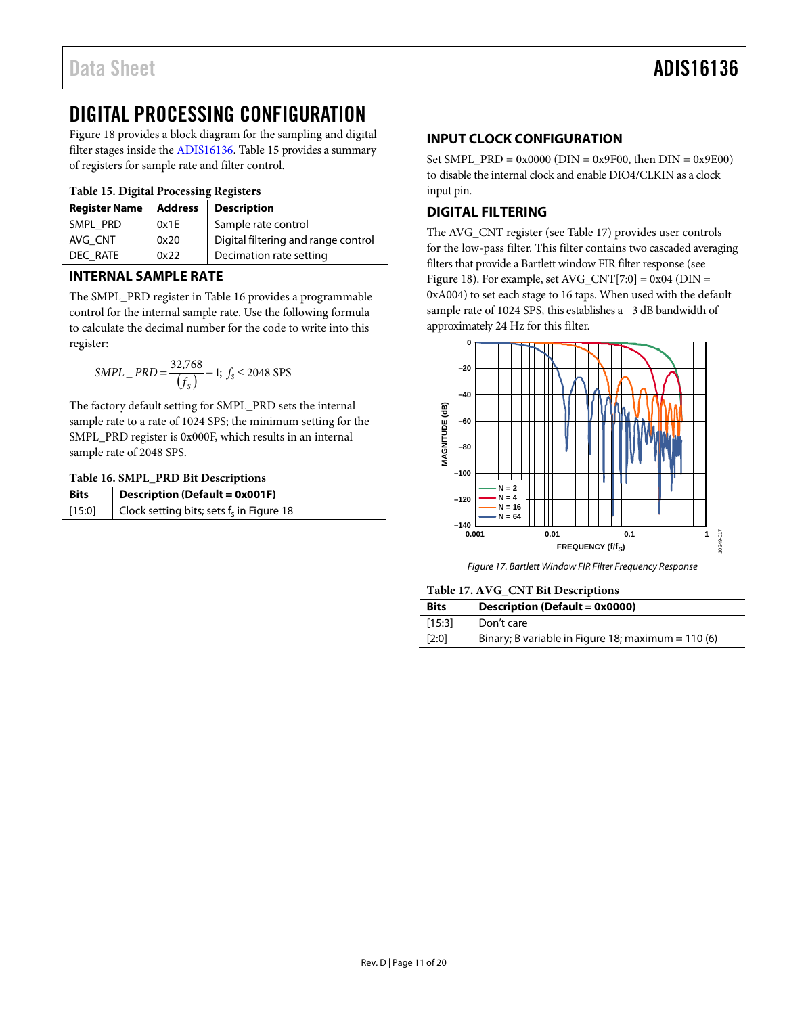### <span id="page-10-0"></span>DIGITAL PROCESSING CONFIGURATION

[Figure 18](#page-11-1) provides a block diagram for the sampling and digital filter stages inside the [ADIS16136.](http://www.analog.com/ADIS16136?doc=ADIS16136.pdf) [Table 15](#page-10-6) provides a summary of registers for sample rate and filter control.

### <span id="page-10-6"></span>**Table 15. Digital Processing Registers**

| <b>Register Name</b> | <b>Address</b> | <b>Description</b>                  |  |
|----------------------|----------------|-------------------------------------|--|
| SMPL PRD             | 0x1E           | Sample rate control                 |  |
| AVG CNT              | 0x20           | Digital filtering and range control |  |
| DEC RATE             | 0x22           | Decimation rate setting             |  |

### <span id="page-10-1"></span>**INTERNAL SAMPLE RATE**

The SMPL\_PRD register in [Table 16](#page-10-4) provides a programmable control for the internal sample rate. Use the following formula to calculate the decimal number for the code to write into this register:

$$
SMPL\_PRD = \frac{32,768}{\{f_s\}} - 1; f_s \le 2048 \text{ SPS}
$$

The factory default setting for SMPL\_PRD sets the internal sample rate to a rate of 1024 SPS; the minimum setting for the SMPL\_PRD register is 0x000F, which results in an internal sample rate of 2048 SPS.

### <span id="page-10-4"></span>**Table 16. SMPL\_PRD Bit Descriptions**

| <b>Bits</b> | <b>Description (Default = 0x001F)</b>       |  |
|-------------|---------------------------------------------|--|
| $[15:0]$    | Clock setting bits; sets $f_s$ in Figure 18 |  |

### <span id="page-10-2"></span>**INPUT CLOCK CONFIGURATION**

Set SMPL\_PRD =  $0x0000$  (DIN =  $0x9F00$ , then DIN =  $0x9E00$ ) to disable the internal clock and enable DIO4/CLKIN as a clock input pin.

### <span id="page-10-3"></span>**DIGITAL FILTERING**

The AVG\_CNT register (see [Table 17\)](#page-10-5) provides user controls for the low-pass filter. This filter contains two cascaded averaging filters that provide a Bartlett window FIR filter response (see [Figure 18\)](#page-11-1). For example, set  $AVG_CNT[7:0] = 0x04$  (DIN = 0xA004) to set each stage to 16 taps. When used with the default sample rate of 1024 SPS, this establishes a −3 dB bandwidth of approximately 24 Hz for this filter.



*Figure 17. Bartlett Window FIR Filter Frequency Response*

<span id="page-10-5"></span>**Table 17. AVG\_CNT Bit Descriptions**

| <b>Bits</b> | Description (Default = 0x0000)                      |  |
|-------------|-----------------------------------------------------|--|
| [15:3]      | Don't care                                          |  |
| [2:0]       | Binary; B variable in Figure 18; maximum = $110(6)$ |  |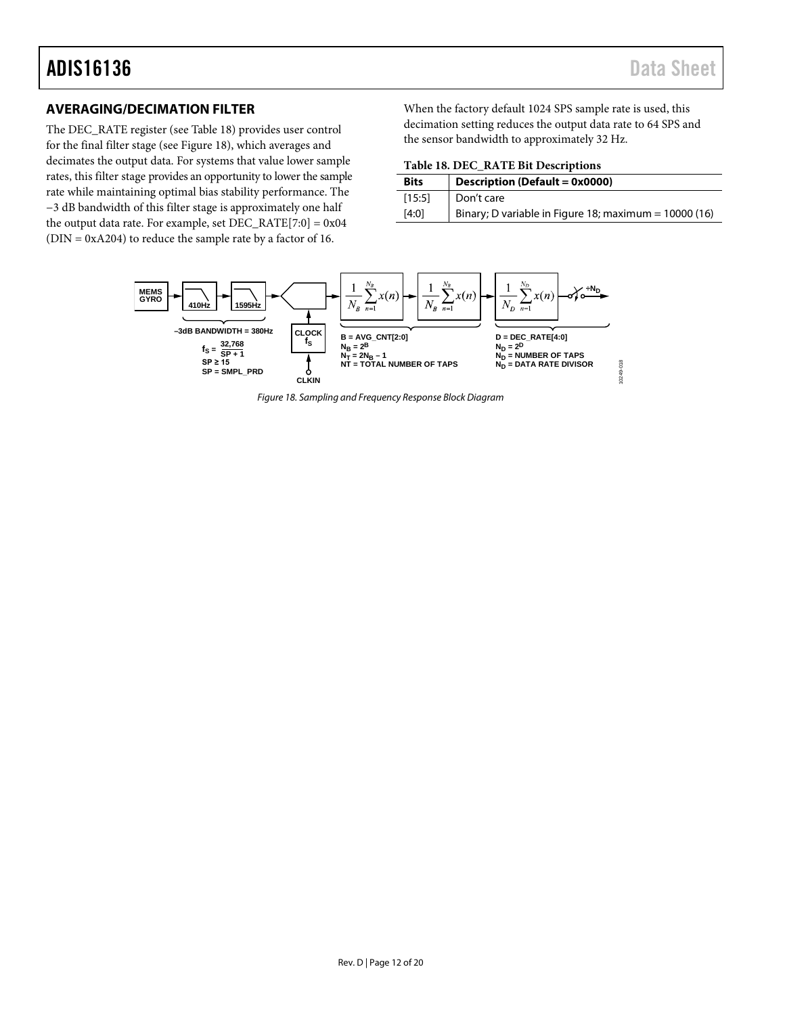### <span id="page-11-0"></span>**AVERAGING/DECIMATION FILTER**

The DEC\_RATE register (se[e Table 18\)](#page-11-2) provides user control for the final filter stage (se[e Figure 18\)](#page-11-1), which averages and decimates the output data. For systems that value lower sample rates, this filter stage provides an opportunity to lower the sample rate while maintaining optimal bias stability performance. The −3 dB bandwidth of this filter stage is approximately one half the output data rate. For example, set  $DEC\_RATE[7:0] = 0x04$ (DIN = 0xA204) to reduce the sample rate by a factor of 16.

When the factory default 1024 SPS sample rate is used, this decimation setting reduces the output data rate to 64 SPS and the sensor bandwidth to approximately 32 Hz.

<span id="page-11-2"></span>

| Table 18. DEC_RATE Bit Descriptions |  |  |
|-------------------------------------|--|--|
|-------------------------------------|--|--|

| <b>Bits</b> | Description (Default = 0x0000)                         |
|-------------|--------------------------------------------------------|
| [15:5]      | Don't care                                             |
| [4:0]       | Binary; D variable in Figure 18; maximum = $10000(16)$ |

<span id="page-11-1"></span>

*Figure 18. Sampling and Frequency Response Block Diagram*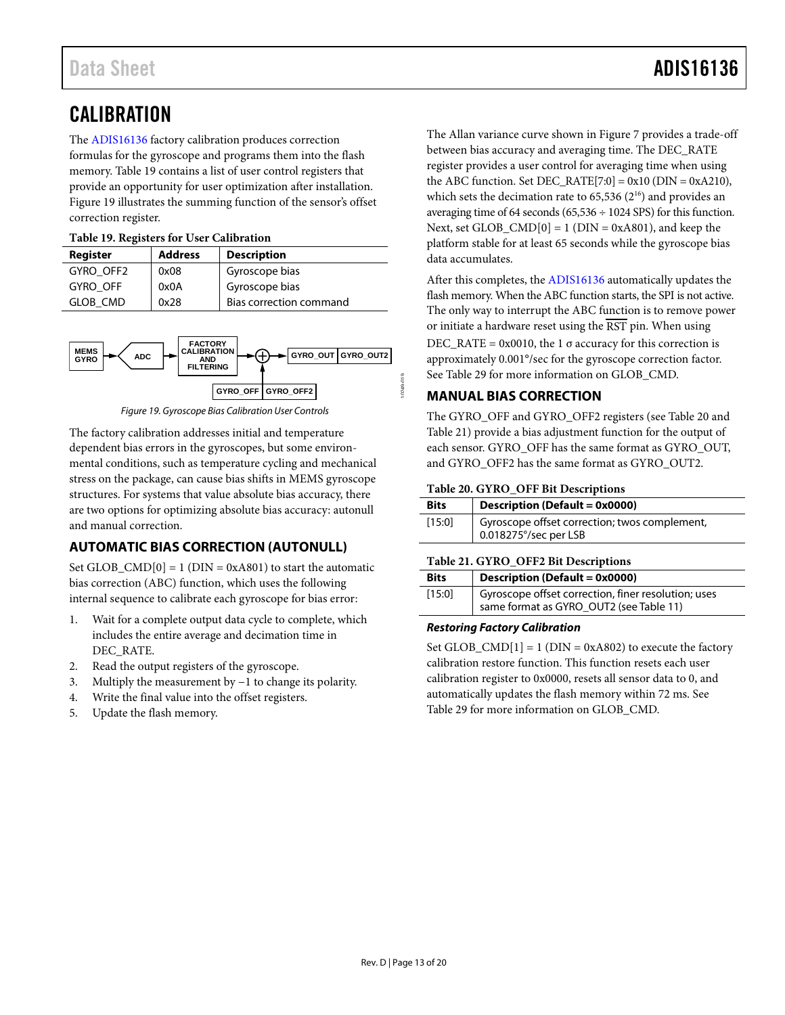### <span id="page-12-0"></span>**CALIBRATION**

The [ADIS16136](http://www.analog.com/ADIS16136?doc=ADIS16136.pdf) factory calibration produces correction formulas for the gyroscope and programs them into the flash memory. [Table 19](#page-12-5) contains a list of user control registers that provide an opportunity for user optimization after installation. [Figure 19](#page-12-6) illustrates the summing function of the sensor's offset correction register.

### <span id="page-12-5"></span>**Table 19. Registers for User Calibration**

| Register        | <b>Address</b> | <b>Description</b>      |  |
|-----------------|----------------|-------------------------|--|
| GYRO OFF2       | 0x08           | Gyroscope bias          |  |
| GYRO OFF        | 0x0A           | Gyroscope bias          |  |
| <b>GLOB CMD</b> | 0x28           | Bias correction command |  |



*Figure 19. Gyroscope Bias Calibration User Controls*

<span id="page-12-6"></span>The factory calibration addresses initial and temperature dependent bias errors in the gyroscopes, but some environmental conditions, such as temperature cycling and mechanical stress on the package, can cause bias shifts in MEMS gyroscope structures. For systems that value absolute bias accuracy, there are two options for optimizing absolute bias accuracy: autonull and manual correction.

### <span id="page-12-1"></span>**AUTOMATIC BIAS CORRECTION (AUTONULL)**

Set GLOB\_CMD $[0] = 1$  (DIN = 0xA801) to start the automatic bias correction (ABC) function, which uses the following internal sequence to calibrate each gyroscope for bias error:

- 1. Wait for a complete output data cycle to complete, which includes the entire average and decimation time in DEC\_RATE.
- 2. Read the output registers of the gyroscope.
- 3. Multiply the measurement by −1 to change its polarity.
- 4. Write the final value into the offset registers.
- 5. Update the flash memory.

The Allan variance curve shown i[n Figure 7](#page-6-1) provides a trade-off between bias accuracy and averaging time. The DEC\_RATE register provides a user control for averaging time when using the ABC function. Set DEC\_RATE $[7:0] = 0x10$  (DIN = 0xA210), which sets the decimation rate to  $65,536$   $(2^{16})$  and provides an averaging time of 64 seconds (65,536  $\div$  1024 SPS) for this function. Next, set GLOB\_CMD $[0] = 1$  (DIN = 0xA801), and keep the platform stable for at least 65 seconds while the gyroscope bias data accumulates.

After this completes, th[e ADIS16136](http://www.analog.com/ADIS16136?doc=ADIS16136.pdf) automatically updates the flash memory. When the ABC function starts, the SPI is not active. The only way to interrupt the ABC function is to remove power or initiate a hardware reset using the  $\overline{RST}$  pin. When using  $DEC\_RATE = 0x0010$ , the 1  $\sigma$  accuracy for this correction is approximately 0.001°/sec for the gyroscope correction factor. See [Table 29](#page-14-5) for more information on GLOB\_CMD.

### <span id="page-12-2"></span>**MANUAL BIAS CORRECTION**

The GYRO\_OFF and GYRO\_OFF2 registers (see [Table 20](#page-12-4) and [Table 21\)](#page-12-3) provide a bias adjustment function for the output of each sensor. GYRO\_OFF has the same format as GYRO\_OUT, and GYRO\_OFF2 has the same format as GYRO\_OUT2.

### <span id="page-12-4"></span>**Table 20. GYRO\_OFF Bit Descriptions**

| <b>Bits</b> | Description (Default = 0x0000)                                         |
|-------------|------------------------------------------------------------------------|
| [15:0]      | Gyroscope offset correction; twos complement,<br>0.018275°/sec per LSB |

### <span id="page-12-3"></span>**Table 21. GYRO\_OFF2 Bit Descriptions**

| <b>Bits</b> | Description (Default = 0x0000)                                                                 |  |  |
|-------------|------------------------------------------------------------------------------------------------|--|--|
| $[15:0]$    | Gyroscope offset correction, finer resolution; uses<br>same format as GYRO_OUT2 (see Table 11) |  |  |

### *Restoring Factory Calibration*

Set GLOB\_CMD $[1] = 1$  (DIN = 0xA802) to execute the factory calibration restore function. This function resets each user calibration register to 0x0000, resets all sensor data to 0, and automatically updates the flash memory within 72 ms. See [Table 29](#page-14-5) for more information on GLOB\_CMD.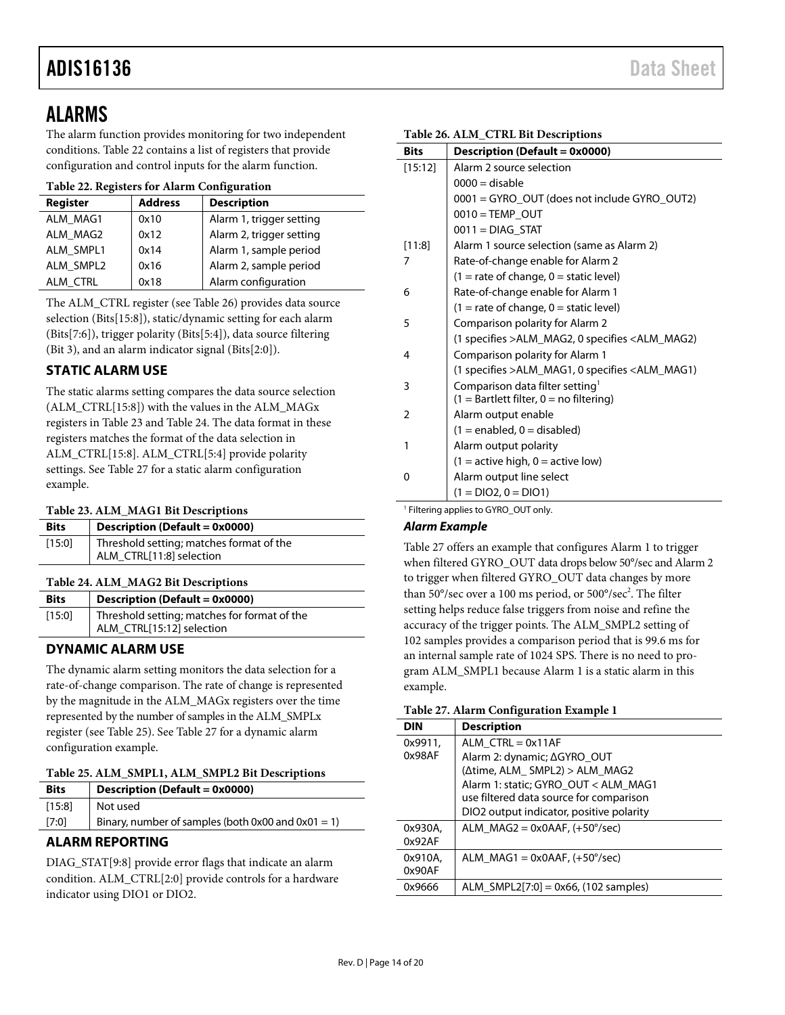### <span id="page-13-0"></span>ALARMS

The alarm function provides monitoring for two independent conditions[. Table 22](#page-13-9) contains a list of registers that provide configuration and control inputs for the alarm function.

### <span id="page-13-9"></span>**Table 22. Registers for Alarm Configuration**

| Register        | <b>Address</b> | <b>Description</b>       |
|-----------------|----------------|--------------------------|
| ALM MAG1        | 0x10           | Alarm 1, trigger setting |
| ALM MAG2        | 0x12           | Alarm 2, trigger setting |
| ALM SMPL1       | 0x14           | Alarm 1, sample period   |
| ALM SMPL2       | 0x16           | Alarm 2, sample period   |
| <b>ALM CTRL</b> | 0x18           | Alarm configuration      |

The ALM\_CTRL register (see [Table 26\)](#page-13-7) provides data source selection (Bits[15:8]), static/dynamic setting for each alarm (Bits[7:6]), trigger polarity (Bits[5:4]), data source filtering (Bit 3), and an alarm indicator signal (Bits[2:0]).

### <span id="page-13-1"></span>**STATIC ALARM USE**

The static alarms setting compares the data source selection (ALM\_CTRL[15:8]) with the values in the ALM\_MAGx registers in [Table 23](#page-13-4) and [Table 24.](#page-13-5) The data format in these registers matches the format of the data selection in ALM\_CTRL[15:8]. ALM\_CTRL[5:4] provide polarity settings. See [Table 27](#page-13-10) for a static alarm configuration example.

### <span id="page-13-4"></span>**Table 23. ALM\_MAG1 Bit Descriptions**

| <b>Bits</b> | <b>Description (Default = 0x0000)</b>                                |
|-------------|----------------------------------------------------------------------|
| [15:0]      | Threshold setting; matches format of the<br>ALM CTRL[11:8] selection |

### <span id="page-13-5"></span>**Table 24. ALM\_MAG2 Bit Descriptions**

<span id="page-13-8"></span>

| <b>Bits</b> | <b>Description (Default = 0x0000)</b>                                     |  |  |
|-------------|---------------------------------------------------------------------------|--|--|
| [15:0]      | Threshold setting; matches for format of the<br>ALM_CTRL[15:12] selection |  |  |

### <span id="page-13-2"></span>**DYNAMIC ALARM USE**

The dynamic alarm setting monitors the data selection for a rate-of-change comparison. The rate of change is represented by the magnitude in the ALM\_MAGx registers over the time represented by the number of samples in the ALM\_SMPLx register (se[e Table 25\)](#page-13-6). Se[e Table 27](#page-13-10) for a dynamic alarm configuration example.

<span id="page-13-6"></span>

|  | Table 25. ALM_SMPL1, ALM_SMPL2 Bit Descriptions |
|--|-------------------------------------------------|
|  |                                                 |

| <b>Bits</b> | Description (Default = 0x0000)                          |  |
|-------------|---------------------------------------------------------|--|
| [15:8]      | Not used                                                |  |
| $[7:0]$     | Binary, number of samples (both $0x00$ and $0x01 = 1$ ) |  |
|             |                                                         |  |

### <span id="page-13-3"></span>**ALARM REPORTING**

DIAG\_STAT[9:8] provide error flags that indicate an alarm condition. ALM\_CTRL[2:0] provide controls for a hardware indicator using DIO1 or DIO2.

| <b>Bits</b> | Description (Default = 0x0000)                   |  |  |
|-------------|--------------------------------------------------|--|--|
| [15:12]     | Alarm 2 source selection                         |  |  |
|             | $0000 =$ disable                                 |  |  |
|             | 0001 = GYRO_OUT (does not include GYRO_OUT2)     |  |  |
|             | $0010 = TEMP$ OUT                                |  |  |
|             | $0011 = DIAG$ STAT                               |  |  |
| [11:8]      | Alarm 1 source selection (same as Alarm 2)       |  |  |
| 7           | Rate-of-change enable for Alarm 2                |  |  |
|             | $(1 =$ rate of change, $0 =$ static level)       |  |  |
| 6           | Rate-of-change enable for Alarm 1                |  |  |
|             | $(1 =$ rate of change, $0 =$ static level)       |  |  |
| 5           | Comparison polarity for Alarm 2                  |  |  |
|             | (1 specifies > ALM_MAG2, 0 specifies < ALM_MAG2) |  |  |
| 4           | Comparison polarity for Alarm 1                  |  |  |
|             | (1 specifies > ALM_MAG1, 0 specifies < ALM_MAG1) |  |  |
| 3           | Comparison data filter setting <sup>1</sup>      |  |  |
|             | $(1 = Bartlett filter, 0 = no filtering)$        |  |  |
| 2           | Alarm output enable                              |  |  |
|             | $(1 = enabled, 0 = disabled)$                    |  |  |
| 1           | Alarm output polarity                            |  |  |
|             | $(1 = active high, 0 = active low)$              |  |  |
| 0           | Alarm output line select                         |  |  |
|             | $(1 = DIO2, 0 = DIO1)$                           |  |  |
|             |                                                  |  |  |

<span id="page-13-7"></span>**Table 26. ALM\_CTRL Bit Descriptions**

Filtering applies to GYRO\_OUT only.

### *Alarm Example*

[Table 27](#page-13-10) offers an example that configures Alarm 1 to trigger when filtered GYRO\_OUT data drops below 50°/sec and Alarm 2 to trigger when filtered GYRO\_OUT data changes by more than 50°/sec over a 100 ms period, or 500°/sec<sup>2</sup>. The filter setting helps reduce false triggers from noise and refine the accuracy of the trigger points. The ALM\_SMPL2 setting of 102 samples provides a comparison period that is 99.6 ms for an internal sample rate of 1024 SPS. There is no need to program ALM\_SMPL1 because Alarm 1 is a static alarm in this example.

### <span id="page-13-10"></span>**Table 27. Alarm Configuration Example 1**

| <b>DIN</b> | <b>Description</b>                        |
|------------|-------------------------------------------|
| 0x9911.    | ALM $CTR = 0x11AF$                        |
| 0x98AF     | Alarm 2: dynamic; ∆GYRO OUT               |
|            | $(\Delta time, ALM, SMPL2) > ALM, MAG2)$  |
|            | Alarm 1: static; GYRO OUT < ALM MAG1      |
|            | use filtered data source for comparison   |
|            | DIO2 output indicator, positive polarity  |
| 0x930A.    | ALM $MAG2 = 0x0AAF$ , $(+50^{\circ}/sec)$ |
| 0x92AF     |                                           |
| 0x910A.    | ALM $MAG1 = 0x0AAF$ , $(+50^{\circ}/sec)$ |
| 0x90AF     |                                           |
| 0x9666     | ALM_SMPL2[7:0] = $0x66$ , (102 samples)   |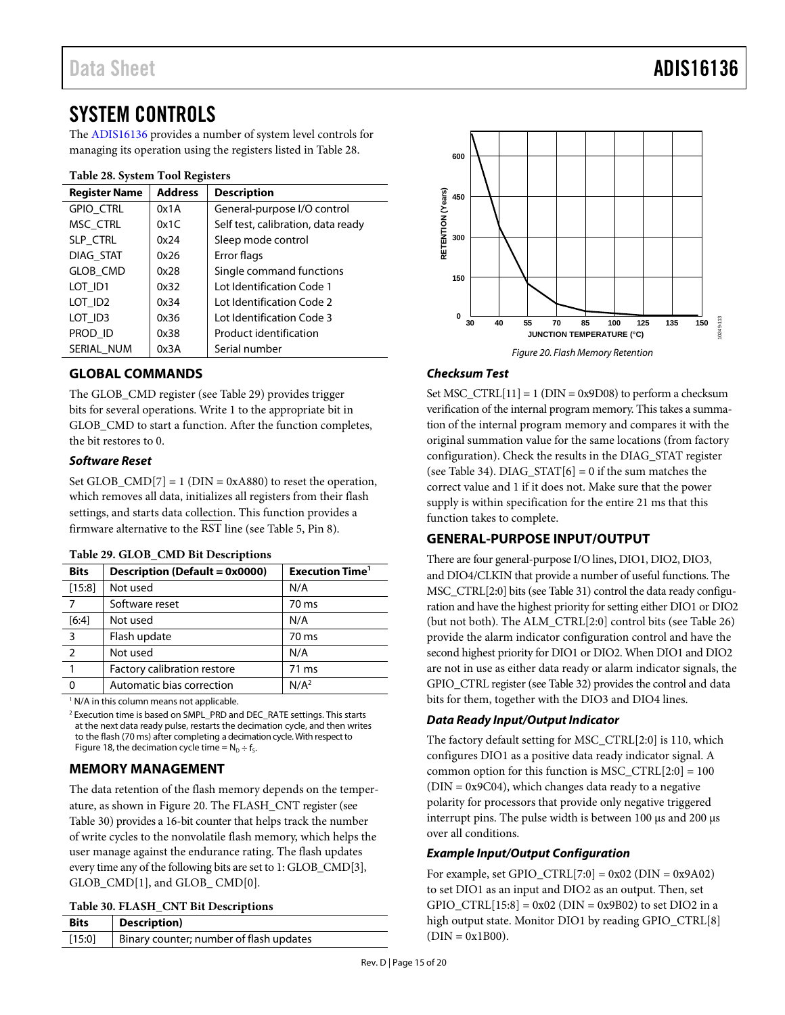### <span id="page-14-0"></span>SYSTEM CONTROLS

The [ADIS16136](http://www.analog.com/ADIS16136?doc=ADIS16136.pdf) provides a number of system level controls for managing its operation using the registers listed in [Table 28.](#page-14-6)

### <span id="page-14-6"></span>**Table 28. System Tool Registers**

| <b>Register Name</b> | <b>Address</b> | <b>Description</b>                 |  |
|----------------------|----------------|------------------------------------|--|
| <b>GPIO CTRL</b>     | 0x1A           | General-purpose I/O control        |  |
| MSC CTRL             | 0x1C           | Self test, calibration, data ready |  |
| SLP_CTRL             | 0x24           | Sleep mode control                 |  |
| DIAG STAT            | 0x26           | Error flags                        |  |
| <b>GLOB CMD</b>      | 0x28           | Single command functions           |  |
| LOT ID1              | 0x32           | Lot Identification Code 1          |  |
| LOT ID <sub>2</sub>  | 0x34           | Lot Identification Code 2          |  |
| LOT_ID3              | 0x36           | Lot Identification Code 3          |  |
| PROD ID              | 0x38           | Product identification             |  |
| SERIAL NUM           | 0x3A           | Serial number                      |  |

### <span id="page-14-1"></span>**GLOBAL COMMANDS**

The GLOB\_CMD register (see [Table 29\)](#page-14-5) provides trigger bits for several operations. Write 1 to the appropriate bit in GLOB\_CMD to start a function. After the function completes, the bit restores to 0.

### *Software Reset*

Set GLOB\_CMD[7] = 1 ( $DIN = 0xA880$ ) to reset the operation, which removes all data, initializes all registers from their flash settings, and starts data collection. This function provides a firmware alternative to the  $\overline{\text{RST}}$  line (se[e Table 5,](#page-5-2) Pin 8).

| <b>Bits</b>    | Description (Default = 0x0000) | Execution Time <sup>1</sup> |
|----------------|--------------------------------|-----------------------------|
| [15:8]         | Not used                       | N/A                         |
|                | Software reset                 | 70 ms                       |
| [6:4]          | Not used                       | N/A                         |
| 3              | Flash update                   | 70 ms                       |
| $\overline{2}$ | Not used                       | N/A                         |
| $\mathbf{1}$   | Factory calibration restore    | 71 ms                       |
| O              | Automatic bias correction      | N/A <sup>2</sup>            |

#### <span id="page-14-5"></span>**Table 29. GLOB\_CMD Bit Descriptions**

 $<sup>1</sup>$  N/A in this column means not applicable.</sup>

<sup>2</sup> Execution time is based on SMPL\_PRD and DEC\_RATE settings. This starts at the next data ready pulse, restarts the decimation cycle, and then writes to the flash (70 ms) after completing a decimation cycle. With respect to [Figure 18,](#page-11-1) the decimation cycle time =  $N_D$  ÷ f<sub>s</sub>.

### <span id="page-14-2"></span>**MEMORY MANAGEMENT**

The data retention of the flash memory depends on the temperature, as shown i[n Figure 20.](#page-14-7) The FLASH\_CNT register (see [Table 30\)](#page-14-4) provides a 16-bit counter that helps track the number of write cycles to the nonvolatile flash memory, which helps the user manage against the endurance rating. The flash updates every time any of the following bits are set to 1: GLOB\_CMD[3], GLOB\_CMD[1], and GLOB\_CMD[0].

#### <span id="page-14-4"></span>**Table 30. FLASH\_CNT Bit Descriptions**

| .           |                                         |  |
|-------------|-----------------------------------------|--|
| <b>Bits</b> | Description)                            |  |
| [15:0]      | Binary counter; number of flash updates |  |
|             |                                         |  |



### <span id="page-14-7"></span>*Checksum Test*

Set MSC\_CTRL[11] = 1 (DIN = 0x9D08) to perform a checksum verification of the internal program memory. This takes a summation of the internal program memory and compares it with the original summation value for the same locations (from factory configuration). Check the results in the DIAG\_STAT register (see [Table 34\)](#page-15-6).  $DIAG\_STAT[6] = 0$  if the sum matches the correct value and 1 if it does not. Make sure that the power supply is within specification for the entire 21 ms that this function takes to complete.

### <span id="page-14-3"></span>**GENERAL-PURPOSE INPUT/OUTPUT**

There are four general-purpose I/O lines, DIO1, DIO2, DIO3, and DIO4/CLKIN that provide a number of useful functions. The MSC\_CTRL[2:0] bits (se[e Table 31\)](#page-15-4) control the data ready configuration and have the highest priority for setting either DIO1 or DIO2 (but not both). The ALM\_CTRL[2:0] control bits (se[e Table 26\)](#page-13-7) provide the alarm indicator configuration control and have the second highest priority for DIO1 or DIO2. When DIO1 and DIO2 are not in use as either data ready or alarm indicator signals, the GPIO\_CTRL register (se[e Table 32\)](#page-15-3) provides the control and data bits for them, together with the DIO3 and DIO4 lines.

### *Data Ready Input/Output Indicator*

The factory default setting for MSC\_CTRL[2:0] is 110, which configures DIO1 as a positive data ready indicator signal. A common option for this function is MSC  $\text{CTRL}[2:0] = 100$  $(DIN = 0x9C04)$ , which changes data ready to a negative polarity for processors that provide only negative triggered interrupt pins. The pulse width is between 100 μs and 200 μs over all conditions.

### *Example Input/Output Configuration*

For example, set GPIO\_CTRL $[7:0] = 0x02$  (DIN = 0x9A02) to set DIO1 as an input and DIO2 as an output. Then, set GPIO\_CTRL[15:8] =  $0x02$  (DIN =  $0x9B02$ ) to set DIO2 in a high output state. Monitor DIO1 by reading GPIO\_CTRL[8]  $DIN = 0x1B00$ ).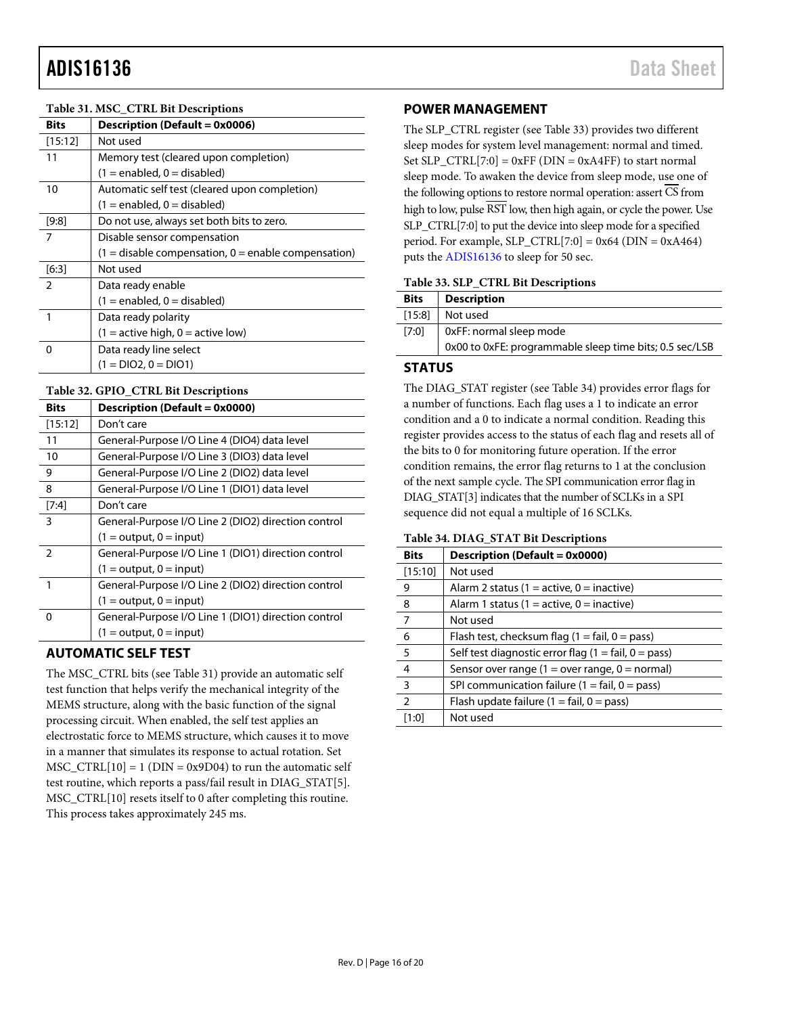### <span id="page-15-4"></span>**Table 31. MSC\_CTRL Bit Descriptions**

| <b>Bits</b> | <b>Description (Default = 0x0006)</b>                 |  |
|-------------|-------------------------------------------------------|--|
| [15:12]     | Not used                                              |  |
| 11          | Memory test (cleared upon completion)                 |  |
|             | $(1 =$ enabled, 0 = disabled)                         |  |
| 10          | Automatic self test (cleared upon completion)         |  |
|             | $(1 = enabled, 0 = disabled)$                         |  |
| [9:8]       | Do not use, always set both bits to zero.             |  |
| 7           | Disable sensor compensation                           |  |
|             | $(1 =$ disable compensation, 0 = enable compensation) |  |
| $[6:3]$     | Not used                                              |  |
| 2           | Data ready enable                                     |  |
|             | $(1 =$ enabled, $0 =$ disabled)                       |  |
| 1           | Data ready polarity                                   |  |
|             | $(1 =$ active high, $0 =$ active low)                 |  |
| ი           | Data ready line select                                |  |
|             | $(1 = DIO2, 0 = DIO1)$                                |  |

#### <span id="page-15-3"></span>**Table 32. GPIO\_CTRL Bit Descriptions**

| <b>Bits</b>   | <b>Description (Default = 0x0000)</b>               |
|---------------|-----------------------------------------------------|
| [15:12]       | Don't care                                          |
| 11            | General-Purpose I/O Line 4 (DIO4) data level        |
| 10            | General-Purpose I/O Line 3 (DIO3) data level        |
| 9             | General-Purpose I/O Line 2 (DIO2) data level        |
| 8             | General-Purpose I/O Line 1 (DIO1) data level        |
| $[7:4]$       | Don't care                                          |
| 3             | General-Purpose I/O Line 2 (DIO2) direction control |
|               | $(1 = output, 0 = input)$                           |
| $\mathcal{P}$ | General-Purpose I/O Line 1 (DIO1) direction control |
|               | $(1 = output, 0 = input)$                           |
| 1             | General-Purpose I/O Line 2 (DIO2) direction control |
|               | $(1 = output, 0 = input)$                           |
| 0             | General-Purpose I/O Line 1 (DIO1) direction control |
|               | $(1 = output, 0 = input)$                           |

### <span id="page-15-0"></span>**AUTOMATIC SELF TEST**

The MSC\_CTRL bits (see [Table 31\)](#page-15-4) provide an automatic self test function that helps verify the mechanical integrity of the MEMS structure, along with the basic function of the signal processing circuit. When enabled, the self test applies an electrostatic force to MEMS structure, which causes it to move in a manner that simulates its response to actual rotation. Set  $MSC_CTRL[10] = 1$  (DIN = 0x9D04) to run the automatic self test routine, which reports a pass/fail result in DIAG\_STAT[5]. MSC\_CTRL[10] resets itself to 0 after completing this routine. This process takes approximately 245 ms.

### <span id="page-15-1"></span>**POWER MANAGEMENT**

The SLP\_CTRL register (se[e Table 33\)](#page-15-5) provides two different sleep modes for system level management: normal and timed. Set SLP\_CTRL[7:0] =  $0xFF$  (DIN =  $0xA4FF$ ) to start normal sleep mode. To awaken the device from sleep mode, use one of the following options to restore normal operation: assert CS from high to low, pulse RST low, then high again, or cycle the power. Use SLP\_CTRL[7:0] to put the device into sleep mode for a specified period. For example, SLP\_CTRL[7:0] =  $0x64$  (DIN =  $0xA464$ ) puts th[e ADIS16136](http://www.analog.com/ADIS16136?doc=ADIS16136.pdf) to sleep for 50 sec.

#### <span id="page-15-5"></span>**Table 33. SLP\_CTRL Bit Descriptions**

| <b>Description</b>                                      |
|---------------------------------------------------------|
| Not used                                                |
| 0xFF: normal sleep mode                                 |
| 0x00 to 0xFE: programmable sleep time bits; 0.5 sec/LSB |
|                                                         |

### <span id="page-15-2"></span>**STATUS**

The DIAG\_STAT register (see [Table 34\)](#page-15-6) provides error flags for a number of functions. Each flag uses a 1 to indicate an error condition and a 0 to indicate a normal condition. Reading this register provides access to the status of each flag and resets all of the bits to 0 for monitoring future operation. If the error condition remains, the error flag returns to 1 at the conclusion of the next sample cycle. The SPI communication error flag in DIAG\_STAT[3] indicates that the number of SCLKs in a SPI sequence did not equal a multiple of 16 SCLKs.

#### <span id="page-15-6"></span>**Table 34. DIAG\_STAT Bit Descriptions**

| <b>Bits</b>             | Description (Default = 0x0000)                                       |
|-------------------------|----------------------------------------------------------------------|
| [15:10]                 | Not used                                                             |
| 9                       | Alarm 2 status (1 = active, 0 = inactive)                            |
| 8                       | Alarm 1 status (1 = active, 0 = inactive)                            |
| $\overline{7}$          | Not used                                                             |
| 6                       | Flash test, checksum flag $(1 = \text{fail}, 0 = \text{pass})$       |
| 5                       | Self test diagnostic error flag $(1 = \text{fail}, 0 = \text{pass})$ |
| $\overline{4}$          | Sensor over range $(1 = over range, 0 = normal)$                     |
| $\overline{\mathbf{3}}$ | SPI communication failure ( $1 = \text{fail}, 0 = \text{pass}$ )     |
| $\overline{2}$          | Flash update failure $(1 = \text{fail}, 0 = \text{pass})$            |
| [1:0]                   | Not used                                                             |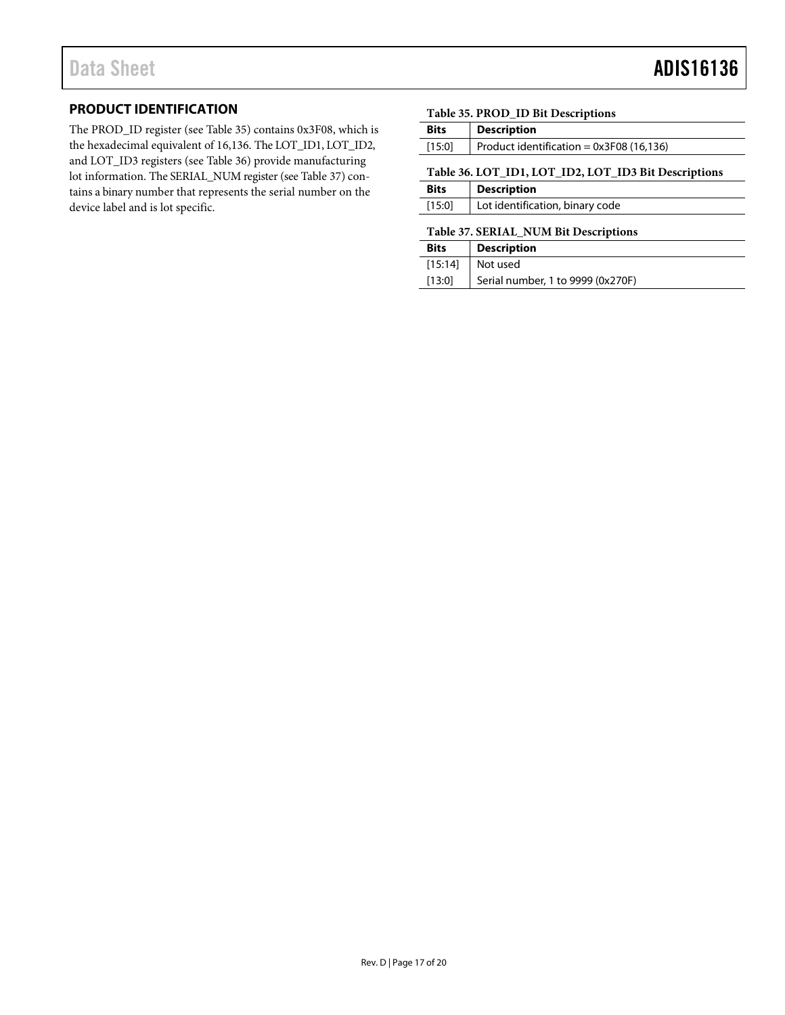### <span id="page-16-0"></span>**PRODUCT IDENTIFICATION**

The PROD\_ID register (see [Table 35\)](#page-16-2) contains 0x3F08, which is the hexadecimal equivalent of 16,136. The LOT\_ID1, LOT\_ID2, and LOT\_ID3 registers (see [Table 36\)](#page-16-1) provide manufacturing lot information. The SERIAL\_NUM register (see [Table 37\)](#page-16-3) contains a binary number that represents the serial number on the device label and is lot specific.

### <span id="page-16-2"></span>**Table 35. PROD\_ID Bit Descriptions**

<span id="page-16-1"></span>

| <b>Bits</b>                                          | <b>Description</b>                        |  |
|------------------------------------------------------|-------------------------------------------|--|
| [15:0]                                               | Product identification = $0x3F08(16,136)$ |  |
| Table 36. LOT_ID1, LOT_ID2, LOT_ID3 Bit Descriptions |                                           |  |
| <b>Bits</b>                                          | <b>Description</b>                        |  |
| [15:0]                                               | Lot identification, binary code           |  |
| T.L. 27 CEDIAI MIIM DA D.                            |                                           |  |

#### <span id="page-16-3"></span>**Table 37. SERIAL\_NUM Bit Descriptions**

| <b>Bits</b> | <b>Description</b>                |
|-------------|-----------------------------------|
|             | $[15:14]$ Not used                |
| [13:0]      | Serial number, 1 to 9999 (0x270F) |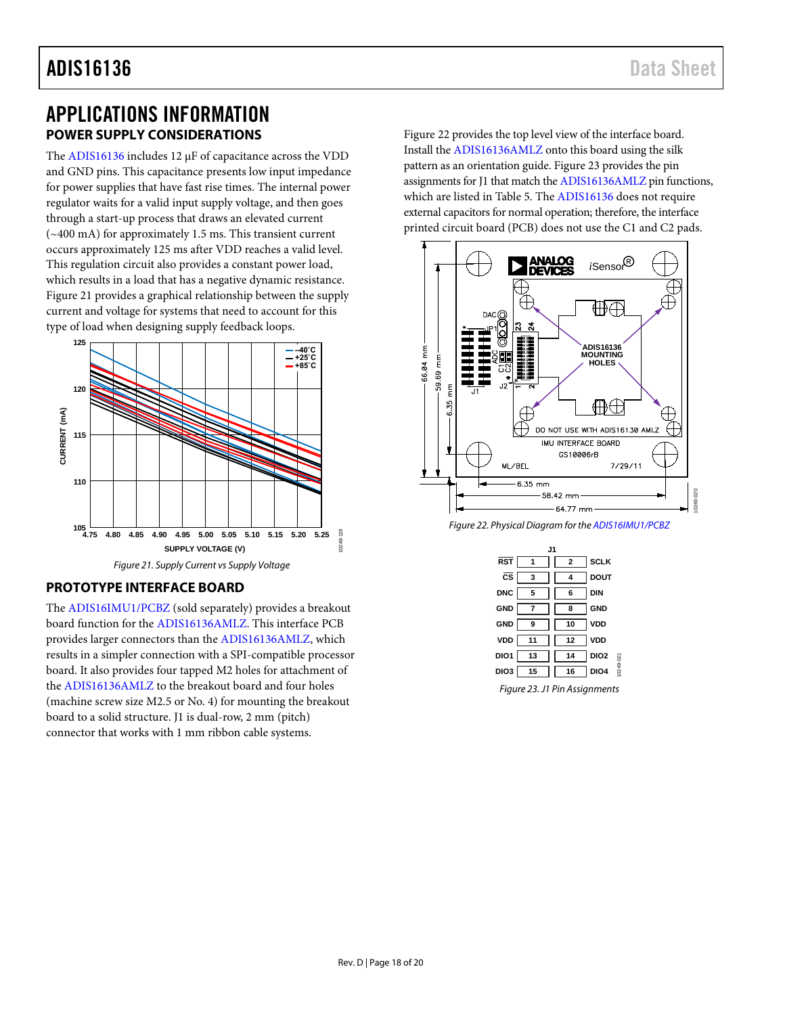### <span id="page-17-0"></span>APPLICATIONS INFORMATION **POWER SUPPLY CONSIDERATIONS**

<span id="page-17-1"></span>The [ADIS16136](http://www.analog.com/ADIS16136?doc=ADIS16136.pdf) includes 12 µF of capacitance across the VDD and GND pins. This capacitance presents low input impedance for power supplies that have fast rise times. The internal power regulator waits for a valid input supply voltage, and then goes through a start-up process that draws an elevated current (~400 mA) for approximately 1.5 ms. This transient current occurs approximately 125 ms after VDD reaches a valid level. This regulation circuit also provides a constant power load, which results in a load that has a negative dynamic resistance. [Figure 21](#page-17-3) provides a graphical relationship between the supply current and voltage for systems that need to account for this type of load when designing supply feedback loops.



### <span id="page-17-3"></span><span id="page-17-2"></span>**PROTOTYPE INTERFACE BOARD**

The [ADIS16IMU1/PCBZ](http://www.analog.com/ADIS16IMU1/PCBZ?doc=ADIS16136.pdf) (sold separately) provides a breakout board function for th[e ADIS16136AMLZ.](http://www.analog.com/ADIS16136AMLZ?doc=ADIS16136.pdf) This interface PCB provides larger connectors than the [ADIS16136AMLZ,](http://www.analog.com/ADIS16136AMLZ?doc=ADIS16136.pdf) which results in a simpler connection with a SPI-compatible processor board. It also provides four tapped M2 holes for attachment of the [ADIS16136AMLZ](http://www.analog.com/ADIS16136AMLZ?doc=ADIS16136.pdf) to the breakout board and four holes (machine screw size M2.5 or No. 4) for mounting the breakout board to a solid structure. J1 is dual-row, 2 mm (pitch) connector that works with 1 mm ribbon cable systems.

[Figure 22](#page-17-4) provides the top level view of the interface board. Install the [ADIS16136AMLZ](http://www.analog.com/ADIS16136AMLZ?doc=ADIS16136.pdf) onto this board using the silk pattern as an orientation guide[. Figure 23](#page-17-5) provides the pin assignments for J1 that match th[e ADIS16136AMLZ](http://www.analog.com/ADIS16136AMLZ?doc=ADIS16136.pdf) pin functions, which are listed i[n Table 5.](#page-5-2) The [ADIS16136](http://www.analog.com/ADIS16136?doc=ADIS16136.pdf) does not require external capacitors for normal operation; therefore, the interface printed circuit board (PCB) does not use the C1 and C2 pads.



<span id="page-17-4"></span>*Figure 22. Physical Diagram for th[e ADIS16IMU1/PCBZ](http://www.analog.com/ADIS16IMU1/PCBZ?doc=ADIS16136.pdf)*

| J1                     |                |              |                  |          |
|------------------------|----------------|--------------|------------------|----------|
| <b>RST</b>             | 1              | $\mathbf{2}$ | <b>SCLK</b>      |          |
| $\overline{\text{cs}}$ | 3              |              | <b>DOUT</b>      |          |
| <b>DNC</b>             | 5              | 6            | DIN              |          |
| GND                    | $\overline{7}$ | 8            | <b>GND</b>       |          |
| <b>GND</b>             | 9              | 10           | VDD              |          |
| VDD                    | 11             | 12           | VDD              |          |
| DIO1                   | 13             | 14           | DIO <sub>2</sub> |          |
| DIO3                   | 15             | 16           | DIO <sub>4</sub> | 0249-021 |
|                        |                |              |                  |          |

<span id="page-17-5"></span>*Figure 23. J1 Pin Assignments*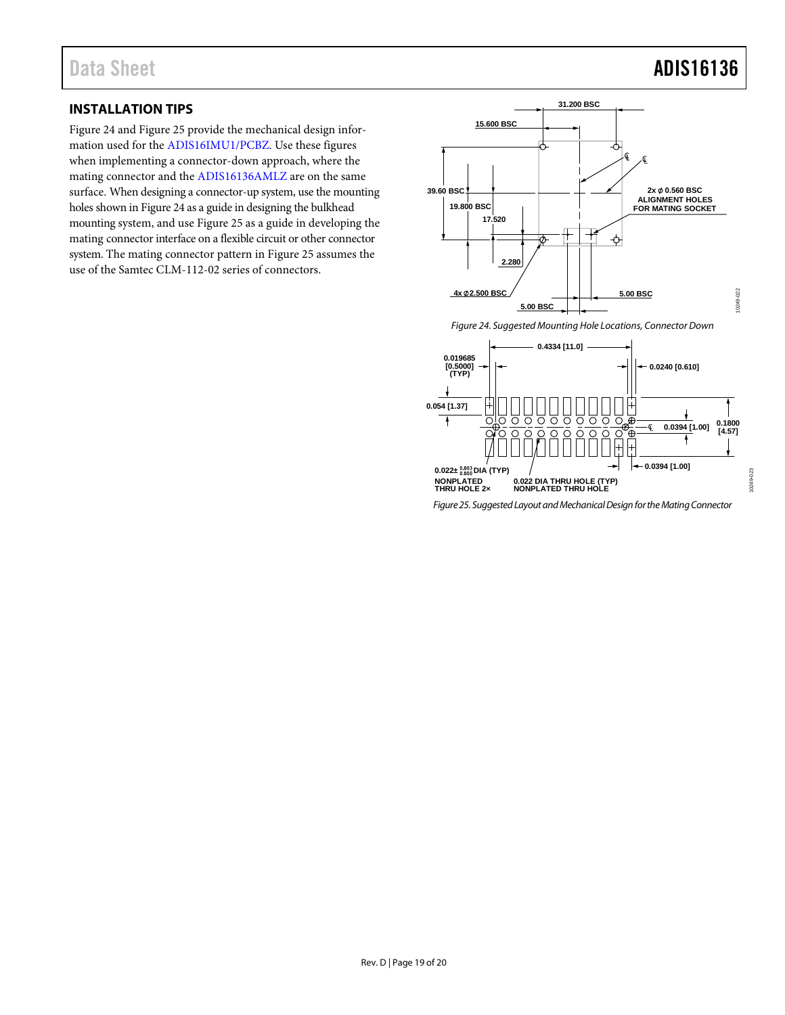### Data Sheet **ADIS16136**

10249-023

D<sub>23</sub>

### <span id="page-18-0"></span>**INSTALLATION TIPS**

[Figure 24](#page-18-1) an[d Figure 25](#page-18-2) provide the mechanical design information used for th[e ADIS16IMU1/PCBZ.](http://www.analog.com/ADIS16IMU1/PCBZ?doc=ADIS16136.pdf) Use these figures when implementing a connector-down approach, where the mating connector and the [ADIS16136AMLZ](http://www.analog.com/ADIS16136AMLZ?doc=ADIS16136.pdf) are on the same surface. When designing a connector-up system, use the mounting holes shown i[n Figure 24](#page-18-1) as a guide in designing the bulkhead mounting system, and us[e Figure 25](#page-18-2) as a guide in developing the mating connector interface on a flexible circuit or other connector system. The mating connector pattern in [Figure 25](#page-18-2) assumes the use of the Samtec CLM-112-02 series of connectors.



<span id="page-18-1"></span>

<span id="page-18-2"></span>*Figure 25. Suggested Layout and Mechanical Design for the Mating Connector*